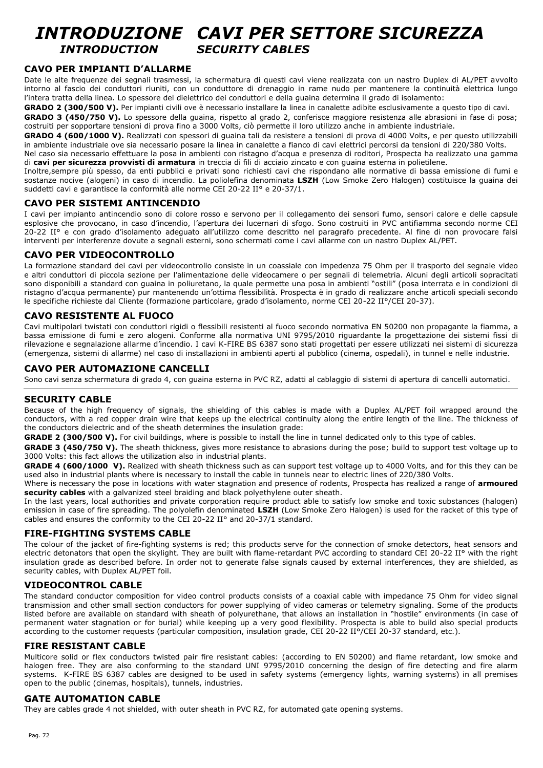## *INTRODUZIONE CAVI PER SETTORE SICUREZZA INTRODUCTION SECURITY CABLES*

## **CAVO PER IMPIANTI D'ALLARME**

Date le alte frequenze dei segnali trasmessi, la schermatura di questi cavi viene realizzata con un nastro Duplex di AL/PET avvolto intorno al fascio dei conduttori riuniti, con un conduttore di drenaggio in rame nudo per mantenere la continuità elettrica lungo l'intera tratta della linea. Lo spessore del dielettrico dei conduttori e della quaina determina il grado di isolamento:

GRADO 2 (300/500 V). Per impianti civili ove è necessario installare la linea in canalette adibite esclusivamente a questo tipo di cavi. GRADO 3 (450/750 V). Lo spessore della guaina, rispetto al grado 2, conferisce maggiore resistenza alle abrasioni in fase di posa; costruiti per sopportare tensioni di prova fino a 3000 Volts, ciò permette il loro utilizzo anche in ambiente industriale.

**GRADO 4 (600/1000 V).** Realizzati con spessori di guaina tali da resistere a tensioni di prova di 4000 Volts, e per questo utilizzabili in ambiente industriale ove sia necessario posare la linea in canalette a fianco di cavi elettrici percorsi da tensioni di 220/380 Volts.

Nel caso sia necessario effettuare la posa in ambienti con ristagno d'acqua e presenza di roditori, Prospecta ha realizzato una gamma di **cavi per sicurezza provvisti di armatura** in treccia di fili di acciaio zincato e con guaina esterna in polietilene.

Inoltre,sempre più spesso, da enti pubblici e privati sono richiesti cavi che rispondano alle normative di bassa emissione di fumi e sostanze nocive (alogeni) in caso di incendio. La poliolefina denominata **LSZH** (Low Smoke Zero Halogen) costituisce la guaina dei suddetti cavi e garantisce la conformità alle norme CEI 20-22 II° e 20-37/1.

## **CAVO PER SISTEMI ANTINCENDIO**

I cavi per impianto antincendio sono di colore rosso e servono per il collegamento dei sensori fumo, sensori calore e delle capsule esplosive che provocano, in caso d'incendio, l'apertura dei lucernari di sfogo. Sono costruiti in PVC antifiamma secondo norme CEI 20-22 II° e con grado d'isolamento adeguato all'utilizzo come descritto nel paragrafo precedente. Al fine di non provocare falsi interventi per interferenze dovute a segnali esterni, sono schermati come i cavi allarme con un nastro Duplex AL/PET.

## **CAVO PER VIDEOCONTROLLO**

La formazione standard dei cavi per videocontrollo consiste in un coassiale con impedenza 75 Ohm per il trasporto del segnale video e altri conduttori di piccola sezione per l'alimentazione delle videocamere o per segnali di telemetria. Alcuni degli articoli sopracitati sono disponibili a standard con guaina in poliuretano, la quale permette una posa in ambienti "ostili" (posa interrata e in condizioni di ristagno d'acqua permanente) pur mantenendo un'ottima flessibilità. Prospecta è in grado di realizzare anche articoli speciali secondo le specifiche richieste dal Cliente (formazione particolare, grado d'isolamento, norme CEI 20-22 II°/CEI 20-37).

## **CAVO RESISTENTE AL FUOCO**

Cavi multipolari twistati con conduttori rigidi o flessibili resistenti al fuoco secondo normativa EN 50200 non propagante la fiamma, a bassa emissione di fumi e zero alogeni. Conforme alla normativa UNI 9795/2010 riguardante la progettazione dei sistemi fissi di rilevazione e segnalazione allarme d'incendio. I cavi K-FIRE BS 6387 sono stati progettati per essere utilizzati nei sistemi di sicurezza (emergenza, sistemi di allarme) nel caso di installazioni in ambienti aperti al pubblico (cinema, ospedali), in tunnel e nelle industrie.

### **CAVO PER AUTOMAZIONE CANCELLI**

Sono cavi senza schermatura di grado 4, con guaina esterna in PVC RZ, adatti al cablaggio di sistemi di apertura di cancelli automatici.

### **SECURITY CABLE**

Because of the high frequency of signals, the shielding of this cables is made with a Duplex AL/PET foil wrapped around the conductors, with a red copper drain wire that keeps up the electrical continuity along the entire length of the line. The thickness of the conductors dielectric and of the sheath determines the insulation grade:

**GRADE 2 (300/500 V).** For civil buildings, where is possible to install the line in tunnel dedicated only to this type of cables.

**GRADE 3 (450/750 V).** The sheath thickness, gives more resistance to abrasions during the pose; build to support test voltage up to 3000 Volts: this fact allows the utilization also in industrial plants.

**GRADE 4 (600/1000 V).** Realized with sheath thickness such as can support test voltage up to 4000 Volts, and for this they can be used also in industrial plants where is necessary to install the cable in tunnels near to electric lines of 220/380 Volts.

Where is necessary the pose in locations with water stagnation and presence of rodents, Prospecta has realized a range of **armoured security cables** with a galvanized steel braiding and black polyethylene outer sheath.

In the last years, local authorities and private corporation require product able to satisfy low smoke and toxic substances (halogen) emission in case of fire spreading. The polyolefin denominated **LSZH** (Low Smoke Zero Halogen) is used for the racket of this type of cables and ensures the conformity to the CEI 20-22 II° and 20-37/1 standard.

## **FIRE-FIGHTING SYSTEMS CABLE**

The colour of the jacket of fire-fighting systems is red; this products serve for the connection of smoke detectors, heat sensors and electric detonators that open the skylight. They are built with flame-retardant PVC according to standard CEI 20-22 II° with the right insulation grade as described before. In order not to generate false signals caused by external interferences, they are shielded, as security cables, with Duplex AL/PET foil.

## **VIDEOCONTROL CABLE**

The standard conductor composition for video control products consists of a coaxial cable with impedance 75 Ohm for video signal transmission and other small section conductors for power supplying of video cameras or telemetry signaling. Some of the products listed before are available on standard with sheath of polyurethane, that allows an installation in "hostile" environments (in case of permanent water stagnation or for burial) while keeping up a very good flexibility. Prospecta is able to build also special products according to the customer requests (particular composition, insulation grade, CEI 20-22 II°/CEI 20-37 standard, etc.).

### **FIRE RESISTANT CABLE**

Multicore solid or flex conductors twisted pair fire resistant cables: (according to EN 50200) and flame retardant, low smoke and halogen free. They are also conforming to the standard UNI 9795/2010 concerning the design of fire detecting and fire alarm systems. K-FIRE BS 6387 cables are designed to be used in safety systems (emergency lights, warning systems) in all premises open to the public (cinemas, hospitals), tunnels, industries.

### **GATE AUTOMATION CABLE**

They are cables grade 4 not shielded, with outer sheath in PVC RZ, for automated gate opening systems.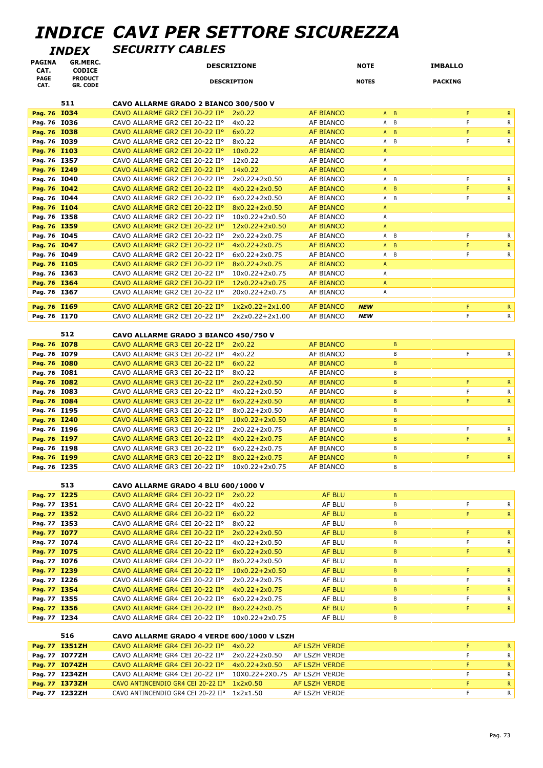# *INDICE CAVI PER SETTORE SICUREZZA*

*INDEX SECURITY CABLES*

| <b>PAGINA</b><br>CAT.        | GR.MERC.<br><b>CODICE</b>         |                                                                  | <b>DESCRIZIONE</b>                   |                               | <b>NOTE</b>       | <b>IMBALLO</b>    |              |
|------------------------------|-----------------------------------|------------------------------------------------------------------|--------------------------------------|-------------------------------|-------------------|-------------------|--------------|
| <b>PAGE</b><br>CAT.          | <b>PRODUCT</b><br><b>GR. CODE</b> |                                                                  | <b>DESCRIPTION</b>                   |                               | <b>NOTES</b>      | <b>PACKING</b>    |              |
|                              | 511                               | CAVO ALLARME GRADO 2 BIANCO 300/500 V                            |                                      |                               |                   |                   |              |
| Pag. 76 I034                 |                                   | CAVO ALLARME GR2 CEI 20-22 II°                                   | 2x0.22                               | <b>AF BIANCO</b>              | $A$ $B$           | F                 | R.           |
| Pag. 76 I036                 |                                   | CAVO ALLARME GR2 CEI 20-22 IIº                                   | 4x0.22                               | AF BIANCO                     | A B               | F                 | R            |
| Pag. 76 I038                 |                                   | CAVO ALLARME GR2 CEI 20-22 IIº                                   | 6x0.22                               | <b>AF BIANCO</b>              | $A$ $B$           | F                 | R            |
| Pag. 76 I039                 |                                   | CAVO ALLARME GR2 CEI 20-22 IIº                                   | 8x0.22                               | AF BIANCO                     | A B               | F                 | R            |
| Pag. 76 I103                 |                                   | CAVO ALLARME GR2 CEI 20-22 IIº                                   | 10x0.22                              | <b>AF BIANCO</b>              | A                 |                   |              |
| Pag. 76 I357                 |                                   | CAVO ALLARME GR2 CEI 20-22 IIº                                   | 12x0.22                              | AF BIANCO                     | A                 |                   |              |
| Pag. 76 I249                 |                                   | CAVO ALLARME GR2 CEI 20-22 IIº                                   | 14x0.22                              | <b>AF BIANCO</b>              | $\mathsf A$       |                   |              |
| Pag. 76 I040                 |                                   | CAVO ALLARME GR2 CEI 20-22 IIº                                   | 2x0.22+2x0.50                        | AF BIANCO                     | A B               | F                 | R            |
| Pag. 76 I042                 |                                   | CAVO ALLARME GR2 CEI 20-22 IIº                                   | $4x0.22 + 2x0.50$                    | <b>AF BIANCO</b>              | $A$ $B$           | F                 | $\mathsf{R}$ |
| Pag. 76 I044                 |                                   | CAVO ALLARME GR2 CEI 20-22 IIº                                   | $6x0.22 + 2x0.50$                    | AF BIANCO                     | A B               | F                 | R            |
| Pag. 76 I104                 |                                   | CAVO ALLARME GR2 CEI 20-22 IIº                                   | $8x0.22 + 2x0.50$                    | <b>AF BIANCO</b>              | A                 |                   |              |
| Pag. 76 I358                 |                                   | CAVO ALLARME GR2 CEI 20-22 IIº                                   | $10x0.22+2x0.50$                     | AF BIANCO                     | Α                 |                   |              |
| Pag. 76 I359                 |                                   | CAVO ALLARME GR2 CEI 20-22 IIº                                   | $12x0.22+2x0.50$                     | <b>AF BIANCO</b>              | $\mathsf{A}$      |                   |              |
| Pag. 76 I045                 |                                   | CAVO ALLARME GR2 CEI 20-22 IIº                                   | 2x0.22+2x0.75                        | AF BIANCO                     | A B               | F                 | R            |
| Pag. 76 I047                 |                                   | CAVO ALLARME GR2 CEI 20-22 IIº                                   | $4x0.22 + 2x0.75$                    | <b>AF BIANCO</b>              | $\mathsf{A}$<br>B | F                 | R.           |
| Pag. 76 I049                 |                                   | CAVO ALLARME GR2 CEI 20-22 IIº                                   | 6x0.22+2x0.75                        | <b>AF BIANCO</b>              | A B               | F                 | R            |
| Pag. 76 I105                 |                                   | CAVO ALLARME GR2 CEI 20-22 IIº                                   | 8x0.22+2x0.75                        | <b>AF BIANCO</b>              | A                 |                   |              |
| Pag. 76 I363                 |                                   | CAVO ALLARME GR2 CEI 20-22 IIº                                   | $10x0.22+2x0.75$                     | AF BIANCO                     | Α                 |                   |              |
| Pag. 76 1364                 |                                   | CAVO ALLARME GR2 CEI 20-22 IIº                                   | $12x0.22+2x0.75$                     | <b>AF BIANCO</b>              | $\mathsf{A}$      |                   |              |
| Pag. 76 I367                 |                                   | CAVO ALLARME GR2 CEI 20-22 IIº                                   | 20x0.22+2x0.75                       | AF BIANCO                     | Α                 |                   |              |
| Pag. 76 I169                 |                                   | CAVO ALLARME GR2 CEI 20-22 IIº                                   | $1x2x0.22+2x1.00$                    | <b>AF BIANCO</b>              | <b>NEW</b>        | F                 | $\mathsf{R}$ |
| Pag. 76 I170                 |                                   | CAVO ALLARME GR2 CEI 20-22 IIº                                   | 2x2x0.22+2x1.00                      | AF BIANCO                     | <b>NEW</b>        | F                 | R            |
|                              |                                   |                                                                  |                                      |                               |                   |                   |              |
|                              | 512                               | CAVO ALLARME GRADO 3 BIANCO 450/750 V                            |                                      |                               |                   |                   |              |
| Pag. 76 I078                 |                                   | CAVO ALLARME GR3 CEI 20-22 IIº                                   | 2x0.22                               | <b>AF BIANCO</b>              | B                 |                   |              |
| Pag. 76 I079                 |                                   | CAVO ALLARME GR3 CEI 20-22 IIº                                   | 4x0.22                               | AF BIANCO                     | B                 | F                 | $\mathsf{R}$ |
| Pag. 76 I080                 |                                   | CAVO ALLARME GR3 CEI 20-22 IIº                                   | 6x0.22                               | <b>AF BIANCO</b>              | B                 |                   |              |
| Pag. 76 I081                 |                                   | CAVO ALLARME GR3 CEI 20-22 IIº                                   | 8x0.22                               | AF BIANCO                     | B                 |                   |              |
| Pag. 76 I082                 |                                   | CAVO ALLARME GR3 CEI 20-22 IIº                                   | $2x0.22+2x0.50$                      | <b>AF BIANCO</b>              | $\mathsf B$       | F                 | $\mathsf{R}$ |
| Pag. 76 I083                 |                                   | CAVO ALLARME GR3 CEI 20-22 IIº                                   | $4x0.22 + 2x0.50$                    | AF BIANCO                     | B                 | F                 | R            |
| Pag. 76 I084<br>Pag. 76 I195 |                                   | CAVO ALLARME GR3 CEI 20-22 IIº                                   | $6x0.22 + 2x0.50$<br>8x0.22+2x0.50   | <b>AF BIANCO</b><br>AF BIANCO | $\, {\bf B}$<br>B | F                 | R            |
| Pag. 76 I240                 |                                   | CAVO ALLARME GR3 CEI 20-22 IIº<br>CAVO ALLARME GR3 CEI 20-22 II° | $10x0.22+2x0.50$                     | <b>AF BIANCO</b>              | $\mathsf B$       |                   |              |
| Pag. 76 I196                 |                                   | CAVO ALLARME GR3 CEI 20-22 IIº                                   | 2x0.22+2x0.75                        | AF BIANCO                     | В                 | F                 | R            |
| Pag. 76 I197                 |                                   | CAVO ALLARME GR3 CEI 20-22 IIº                                   | $4x0.22 + 2x0.75$                    | <b>AF BIANCO</b>              | $\mathsf B$       | F                 | R            |
| Pag. 76 I198                 |                                   | CAVO ALLARME GR3 CEI 20-22 IIº                                   | 6x0.22+2x0.75                        | AF BIANCO                     | В                 |                   |              |
| Pag. 76 I199                 |                                   | CAVO ALLARME GR3 CEI 20-22 IIº                                   | $8x0.22 + 2x0.75$                    | <b>AF BIANCO</b>              | $\, {\bf B}$      | F                 | $\mathsf{R}$ |
| Pag. 76 I235                 |                                   | CAVO ALLARME GR3 CEI 20-22 II°                                   | 10x0.22+2x0.75                       | AF BIANCO                     | B                 |                   |              |
|                              |                                   |                                                                  |                                      |                               |                   |                   |              |
|                              | 513                               | CAVO ALLARME GRADO 4 BLU 600/1000 V                              |                                      |                               |                   |                   |              |
| Pag. 77 I225                 |                                   | CAVO ALLARME GR4 CEI 20-22 IIº                                   | 2x0.22                               | AF BLU                        | B                 |                   |              |
| Pag. 77 I351                 |                                   | CAVO ALLARME GR4 CEI 20-22 IIº                                   | 4x0.22                               | AF BLU                        | В                 | F.                | $\mathsf{R}$ |
| Pag. 77 I352                 |                                   | CAVO ALLARME GR4 CEI 20-22 IIº                                   | 6x0.22                               | <b>AF BLU</b>                 | B                 | F.                | $\mathsf{R}$ |
| Pag. 77 I353                 |                                   | CAVO ALLARME GR4 CEI 20-22 IIº                                   | 8x0.22                               | AF BLU                        | В                 |                   |              |
| Pag. 77 I077                 |                                   | CAVO ALLARME GR4 CEI 20-22 IIº                                   | $2x0.22+2x0.50$                      | AF BLU                        | B<br>B            | F.<br>$\mathsf F$ | $\mathsf R$  |
| Pag. 77 I074<br>Pag. 77 I075 |                                   | CAVO ALLARME GR4 CEI 20-22 IIº<br>CAVO ALLARME GR4 CEI 20-22 IIº | $4x0.22 + 2x0.50$<br>$6x0.22+2x0.50$ | AF BLU                        | $\mathsf B$       | F                 | R            |
| Pag. 77 I076                 |                                   | CAVO ALLARME GR4 CEI 20-22 IIº                                   | 8x0.22+2x0.50                        | AF BLU<br>AF BLU              | В                 |                   | $\mathsf{R}$ |
| Pag. 77 I239                 |                                   | CAVO ALLARME GR4 CEI 20-22 IIº                                   | $10x0.22+2x0.50$                     | AF BLU                        | $\sf{B}$          | F                 | ${\sf R}$    |
| Pag. 77 I226                 |                                   | CAVO ALLARME GR4 CEI 20-22 IIº                                   | 2x0.22+2x0.75                        | AF BLU                        | B                 | $\mathsf F$       | R            |
| Pag. 77 I354                 |                                   | CAVO ALLARME GR4 CEI 20-22 IIº                                   | $4x0.22 + 2x0.75$                    | <b>AF BLU</b>                 | B                 | F                 | $\mathsf R$  |
| Pag. 77 I355                 |                                   | CAVO ALLARME GR4 CEI 20-22 IIº                                   | 6x0.22+2x0.75                        | AF BLU                        | В                 | $\mathsf F$       | R            |
| Pag. 77 I356                 |                                   | CAVO ALLARME GR4 CEI 20-22 IIº                                   | 8x0.22+2x0.75                        | AF BLU                        | B                 | F                 | $\mathsf{R}$ |
| Pag. 77 I234                 |                                   | CAVO ALLARME GR4 CEI 20-22 IIº                                   | 10x0.22+2x0.75                       | AF BLU                        | В                 |                   |              |
|                              |                                   |                                                                  |                                      |                               |                   |                   |              |
|                              | 516                               | CAVO ALLARME GRADO 4 VERDE 600/1000 V LSZH                       |                                      |                               |                   |                   |              |
|                              | Pag. 77 I351ZH                    | CAVO ALLARME GR4 CEI 20-22 IIº                                   | 4x0.22                               | AF LSZH VERDE                 |                   | F                 | $\mathsf R$  |
|                              | Pag. 77 I077ZH                    | CAVO ALLARME GR4 CEI 20-22 IIº                                   | 2x0.22+2x0.50                        | AF LSZH VERDE                 |                   | F                 | R            |
|                              | Pag. 77 I074ZH                    | CAVO ALLARME GR4 CEI 20-22 IIº                                   | $4x0.22+2x0.50$                      | AF LSZH VERDE                 |                   | F                 | $\mathsf{R}$ |
|                              | Pag. 77 I234ZH                    | CAVO ALLARME GR4 CEI 20-22 IIº                                   | 10X0.22+2X0.75 AF LSZH VERDE         |                               |                   | $\mathsf F$       | $\mathsf{R}$ |
|                              | Pag. 77 I373ZH                    | CAVO ANTINCENDIO GR4 CEI 20-22 IIº                               | 1x2x0.50                             | AF LSZH VERDE                 |                   | F<br>F            | $\mathsf{R}$ |
|                              | Pag. 77 I232ZH                    | CAVO ANTINCENDIO GR4 CEI 20-22 II° 1x2x1.50                      |                                      | AF LSZH VERDE                 |                   |                   | R.           |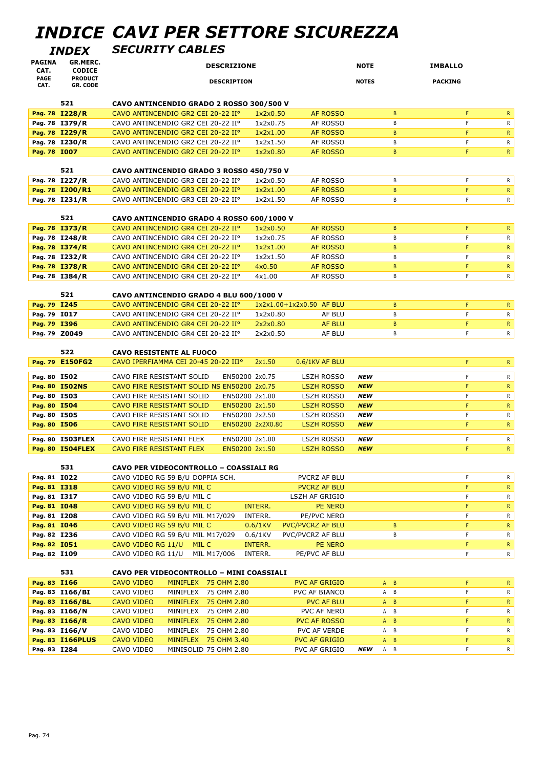# *INDICE CAVI PER SETTORE SICUREZZA*

*INDEX SECURITY CABLES*

| PAGINA<br>CAT.               | <b>GR.MERC.</b><br><b>CODICE</b>  | <b>DESCRIZIONE</b>                                                                                                              | <b>NOTE</b>       | <b>IMBALLO</b>              |
|------------------------------|-----------------------------------|---------------------------------------------------------------------------------------------------------------------------------|-------------------|-----------------------------|
| <b>PAGE</b>                  | <b>PRODUCT</b>                    | <b>DESCRIPTION</b>                                                                                                              | <b>NOTES</b>      | <b>PACKING</b>              |
| CAT.                         | <b>GR. CODE</b>                   |                                                                                                                                 |                   |                             |
|                              | 521                               | CAVO ANTINCENDIO GRADO 2 ROSSO 300/500 V                                                                                        |                   |                             |
|                              | Pag. 78 I228/R                    | CAVO ANTINCENDIO GR2 CEI 20-22 IIº<br>1x2x0.50<br>AF ROSSO                                                                      | B                 | F<br>$\mathsf{R}^-$         |
|                              | Pag. 78 I379/R                    | CAVO ANTINCENDIO GR2 CEI 20-22 IIº<br>1x2x0.75<br>AF ROSSO                                                                      | B                 | F<br>R                      |
|                              | Pag. 78 I229/R                    | CAVO ANTINCENDIO GR2 CEI 20-22 IIº<br>1x2x1.00<br>AF ROSSO                                                                      | B                 | F<br>$\mathsf{R}$           |
|                              | Pag. 78 I230/R                    | CAVO ANTINCENDIO GR2 CEI 20-22 IIº<br>1x2x1.50<br>AF ROSSO                                                                      | В                 | F<br>R                      |
| Pag. 78 I007                 |                                   | CAVO ANTINCENDIO GR2 CEI 20-22 IIº<br>1x2x0.80<br><b>AF ROSSO</b>                                                               | $\mathsf{B}$      | F<br>$\mathsf{R}$           |
|                              |                                   |                                                                                                                                 |                   |                             |
|                              | 521                               | CAVO ANTINCENDIO GRADO 3 ROSSO 450/750 V                                                                                        |                   |                             |
|                              | Pag. 78 I227/R<br>Pag. 78 I200/R1 | CAVO ANTINCENDIO GR3 CEI 20-22 IIº<br>1x2x0.50<br>AF ROSSO<br>CAVO ANTINCENDIO GR3 CEI 20-22 IIº<br><b>AF ROSSO</b><br>1x2x1.00 | В<br>$\mathsf{B}$ | F<br>R<br>F<br>$\mathsf{R}$ |
|                              | Pag. 78 I231/R                    | CAVO ANTINCENDIO GR3 CEI 20-22 IIº<br>1x2x1.50<br>AF ROSSO                                                                      | B                 | F.<br>R.                    |
|                              |                                   |                                                                                                                                 |                   |                             |
|                              | 521                               | CAVO ANTINCENDIO GRADO 4 ROSSO 600/1000 V                                                                                       |                   |                             |
|                              | Pag. 78 I373/R                    | CAVO ANTINCENDIO GR4 CEI 20-22 IIº<br>1x2x0.50<br>AF ROSSO                                                                      | B                 | F<br>$\mathsf{R}$           |
|                              | Pag. 78 I248/R                    | CAVO ANTINCENDIO GR4 CEI 20-22 IIº<br>1x2x0.75<br>AF ROSSO                                                                      | B                 | F<br>R                      |
|                              | Pag. 78 I374/R                    | CAVO ANTINCENDIO GR4 CEI 20-22 IIº<br>1x2x1.00<br>AF ROSSO                                                                      | B                 | F<br>$\mathsf{R}$           |
|                              | Pag. 78 I232/R                    | CAVO ANTINCENDIO GR4 CEI 20-22 IIº<br>1x2x1.50<br>AF ROSSO                                                                      | B                 | F<br>$\mathsf{R}$           |
|                              | Pag. 78 I378/R                    | CAVO ANTINCENDIO GR4 CEI 20-22 IIº<br><b>AF ROSSO</b><br>4x0.50                                                                 | $\mathsf{B}$      | F<br>$\mathsf{R}$           |
|                              | Pag. 78 I384/R                    | CAVO ANTINCENDIO GR4 CEI 20-22 IIº<br>4x1.00<br>AF ROSSO                                                                        | B                 | F.<br>R.                    |
|                              |                                   |                                                                                                                                 |                   |                             |
| Pag. 79 I245                 | 521                               | CAVO ANTINCENDIO GRADO 4 BLU 600/1000 V<br>CAVO ANTINCENDIO GR4 CEI 20-22 IIº<br>1x2x1.00+1x2x0.50 AF BLU                       | B                 | F                           |
| Pag. 79 I017                 |                                   | CAVO ANTINCENDIO GR4 CEI 20-22 IIº<br>1x2x0.80<br>AF BLU                                                                        | B                 | $\mathsf{R}$<br>F.<br>R.    |
| Pag. 79 I396                 |                                   | CAVO ANTINCENDIO GR4 CEI 20-22 IIº<br>2x2x0.80<br><b>AF BLU</b>                                                                 | B                 | F<br>$\mathsf{R}$           |
| Pag. 79 Z0049                |                                   | CAVO ANTINCENDIO GR4 CEI 20-22 IIº<br>AF BLU<br>2x2x0.50                                                                        | B                 | F.<br>R.                    |
|                              |                                   |                                                                                                                                 |                   |                             |
|                              | 522                               | <b>CAVO RESISTENTE AL FUOCO</b>                                                                                                 |                   |                             |
|                              | Pag. 79 E150FG2                   | CAVO IPERFIAMMA CEI 20-45 20-22 IIIº<br>2x1.50<br>0.6/1KV AF BLU                                                                |                   | F.<br>$\mathsf{R}$          |
| Pag. 80 I502                 |                                   | CAVO FIRE RESISTANT SOLID<br>EN50200 2x0.75<br><b>LSZH ROSSO</b>                                                                | <b>NEW</b>        | F.<br>$\mathsf{R}$          |
|                              | Pag. 80 I502NS                    | CAVO FIRE RESISTANT SOLID NS EN50200 2x0.75<br><b>LSZH ROSSO</b>                                                                | <b>NEW</b>        | F<br>$\mathsf{R}$           |
| Pag. 80 I503                 |                                   | CAVO FIRE RESISTANT SOLID<br>EN50200 2x1.00<br><b>LSZH ROSSO</b>                                                                | <b>NEW</b>        | F<br>R.                     |
| Pag. 80 I504                 |                                   | CAVO FIRE RESISTANT SOLID<br>EN50200 2x1.50<br><b>LSZH ROSSO</b>                                                                | <b>NEW</b>        | F.<br>$\mathsf{R}$          |
| Pag. 80 I505                 |                                   | CAVO FIRE RESISTANT SOLID<br>EN50200 2x2.50<br><b>LSZH ROSSO</b>                                                                | <b>NEW</b>        | F<br>$\mathsf{R}$           |
| Pag. 80 I506                 |                                   | <b>CAVO FIRE RESISTANT SOLID</b><br>EN50200 2x2X0.80<br><b>LSZH ROSSO</b>                                                       | <b>NEW</b>        | F<br>$\mathsf{R}$           |
|                              | Pag. 80 I503FLEX                  | CAVO FIRE RESISTANT FLEX<br>EN50200 2x1.00<br><b>LSZH ROSSO</b>                                                                 | <b>NEW</b>        | R.<br>F                     |
|                              | Pag. 80 I504FLEX                  | EN50200 2x1.50<br><b>CAVO FIRE RESISTANT FLEX</b><br><b>LSZH ROSSO</b>                                                          | <b>NEW</b>        | F<br>$\mathsf{R}$           |
|                              |                                   |                                                                                                                                 |                   |                             |
|                              | 531                               | <b>CAVO PER VIDEOCONTROLLO - COASSIALI RG</b>                                                                                   |                   |                             |
| Pag. 81 IO22                 |                                   | CAVO VIDEO RG 59 B/U DOPPIA SCH.<br>PVCRZ AF BLU                                                                                |                   | F<br>R                      |
| Pag. 81 I318                 |                                   | CAVO VIDEO RG 59 B/U MIL C<br><b>PVCRZ AF BLU</b>                                                                               |                   | F<br>R.<br>F                |
| Pag. 81 I317<br>Pag. 81 I048 |                                   | CAVO VIDEO RG 59 B/U MIL C<br>LSZH AF GRIGIO<br>CAVO VIDEO RG 59 B/U MIL C<br>INTERR.<br>PE NERO                                |                   | R<br>F<br>$\mathsf{R}$      |
| Pag. 81 I208                 |                                   | CAVO VIDEO RG 59 B/U MIL M17/029<br>INTERR.<br>PE/PVC NERO                                                                      |                   | F<br>R                      |
| Pag. 81 I046                 |                                   | CAVO VIDEO RG 59 B/U MIL C<br>$0.6/1$ KV<br><b>PVC/PVCRZ AF BLU</b>                                                             | B                 | F<br>$\mathsf{R}$           |
| Pag. 82 I236                 |                                   | CAVO VIDEO RG 59 B/U MIL M17/029<br>$0.6/1$ KV<br>PVC/PVCRZ AF BLU                                                              | B                 | F<br>R                      |
| Pag. 82 IO51                 |                                   | CAVO VIDEO RG 11/U<br>MIL C<br>INTERR.<br>PE NERO                                                                               |                   | F<br>$\mathsf{R}$           |
| Pag. 82 I109                 |                                   | CAVO VIDEO RG 11/U MIL M17/006<br>INTERR.<br>PE/PVC AF BLU                                                                      |                   | F.<br>R.                    |
|                              |                                   |                                                                                                                                 |                   |                             |
|                              | 531                               | CAVO PER VIDEOCONTROLLO - MINI COASSIALI                                                                                        |                   |                             |
| Pag. 83 I166                 |                                   | CAVO VIDEO<br>MINIFLEX 75 OHM 2.80<br><b>PVC AF GRIGIO</b>                                                                      | $A$ $B$           | F.<br>$\mathsf{R}$          |
|                              | Pag. 83 I166/BI                   | CAVO VIDEO<br>MINIFLEX 75 OHM 2.80<br>PVC AF BIANCO                                                                             | A B               | F<br>R                      |
|                              | Pag. 83 I166/BL<br>Pag. 83 I166/N | CAVO VIDEO<br>MINIFLEX 75 OHM 2.80<br><b>PVC AF BLU</b><br>PVC AF NERO                                                          | $A$ $B$<br>A B    | F<br>$\mathsf{R}$<br>F<br>R |
|                              | Pag. 83 I166/R                    | CAVO VIDEO<br>MINIFLEX 75 OHM 2.80<br>CAVO VIDEO<br>MINIFLEX 75 OHM 2.80<br><b>PVC AF ROSSO</b>                                 | $A$ $B$           | F<br>R.                     |
|                              | Pag. 83 I166/V                    | CAVO VIDEO<br>MINIFLEX 75 OHM 2.80<br>PVC AF VERDE                                                                              | A B               | F<br>R                      |
|                              | Pag. 83 I166PLUS                  | MINIFLEX 75 OHM 3.40<br><b>CAVO VIDEO</b><br><b>PVC AF GRIGIO</b>                                                               | $A$ $B$           | F<br>R.                     |
| Pag. 83 I284                 |                                   | CAVO VIDEO<br>MINISOLID 75 OHM 2.80<br>PVC AF GRIGIO                                                                            | <b>NEW</b><br>A B | F<br>R.                     |
|                              |                                   |                                                                                                                                 |                   |                             |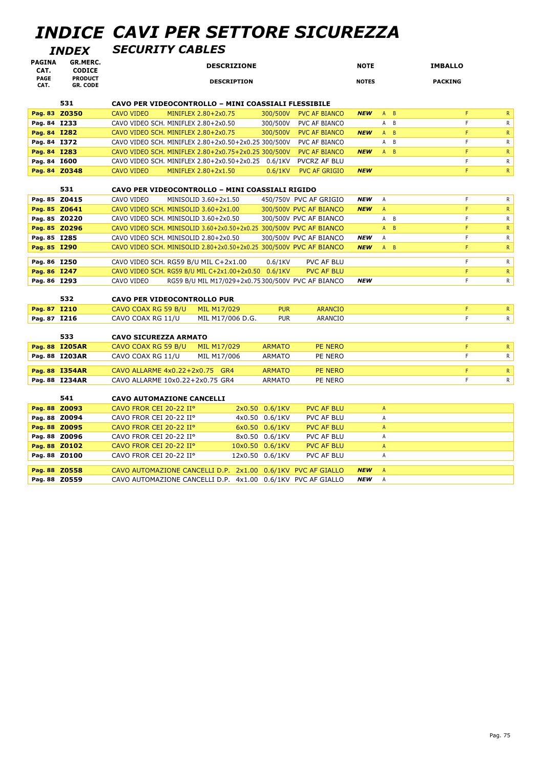# *INDICE CAVI PER SETTORE SICUREZZA*

*INDEX SECURITY CABLES*

| <b>PAGINA</b><br>CAT.        | GR.MERC.<br><b>CODICE</b>         | <b>DESCRIZIONE</b>                                                                                                                            | <b>NOTE</b>                | <b>IMBALLO</b>               |
|------------------------------|-----------------------------------|-----------------------------------------------------------------------------------------------------------------------------------------------|----------------------------|------------------------------|
| <b>PAGE</b><br>CAT.          | <b>PRODUCT</b><br><b>GR. CODE</b> | <b>DESCRIPTION</b>                                                                                                                            | <b>NOTES</b>               | <b>PACKING</b>               |
|                              | 531                               | CAVO PER VIDEOCONTROLLO - MINI COASSIALI FLESSIBILE                                                                                           |                            |                              |
| Pag. 83 Z0350                |                                   | MINIFLEX 2.80+2x0.75<br>300/500V<br><b>PVC AF BIANCO</b><br><b>CAVO VIDEO</b>                                                                 | <b>NEW</b>                 | F<br>$\mathsf{R}$<br>$A$ $B$ |
| Pag. 84 I233                 |                                   | CAVO VIDEO SCH. MINIFLEX 2.80+2x0.50<br>300/500V<br>PVC AF BIANCO                                                                             |                            | F<br>A B<br>R                |
| Pag. 84 I282                 |                                   | CAVO VIDEO SCH. MINIFLEX 2.80+2x0.75<br>300/500V<br><b>PVC AF BIANCO</b>                                                                      | <b>NEW</b>                 | F<br>$A$ $B$<br>$\mathsf{R}$ |
| Pag. 84 I372                 |                                   | CAVO VIDEO SCH. MINIFLEX 2.80+2x0.50+2x0.25 300/500V<br><b>PVC AF BIANCO</b>                                                                  |                            | F<br>${\sf R}$<br>A B        |
| Pag. 84 I283                 |                                   | CAVO VIDEO SCH. MINIFLEX 2.80+2x0.75+2x0.25 300/500V<br><b>PVC AF BIANCO</b>                                                                  | <b>NEW</b>                 | F<br>$A$ $B$<br>$\mathsf{R}$ |
| Pag. 84 I600                 |                                   | CAVO VIDEO SCH. MINIFLEX 2.80+2x0.50+2x0.25 0.6/1KV<br><b>PVCRZ AF BLU</b>                                                                    |                            | $\mathsf F$<br>$\mathsf{R}$  |
| Pag. 84 Z0348                |                                   | <b>PVC AF GRIGIO</b><br><b>CAVO VIDEO</b><br>MINIFLEX 2.80+2x1.50<br>$0.6/1$ KV                                                               | <b>NEW</b>                 | F<br>$\mathsf{R}$            |
|                              |                                   |                                                                                                                                               |                            |                              |
|                              | 531                               | CAVO PER VIDEOCONTROLLO - MINI COASSIALI RIGIDO                                                                                               |                            |                              |
| Pag. 85 Z0415                |                                   | CAVO VIDEO<br>MINISOLID 3.60+2x1.50<br>450/750V PVC AF GRIGIO                                                                                 | <b>NEW</b><br>Α            | $\mathsf F$<br>$\mathsf{R}$  |
| Pag. 85 Z0641                |                                   | CAVO VIDEO SCH. MINISOLID 3.60+2x1.00<br>300/500V PVC AF BIANCO                                                                               | <b>NEW</b><br>$\mathsf{A}$ | F<br>$\mathsf{R}$            |
| Pag. 85 Z0220                |                                   | CAVO VIDEO SCH. MINISOLID 3.60+2x0.50<br>300/500V PVC AF BIANCO                                                                               |                            | F<br>A B<br>R                |
| Pag. 85 Z0296                |                                   | CAVO VIDEO SCH. MINISOLID 3.60+2x0.50+2x0.25 300/500V PVC AF BIANCO                                                                           |                            | F<br>$A$ $B$<br>${\sf R}$    |
| Pag. 85 I285                 |                                   | CAVO VIDEO SCH. MINISOLID 2.80+2x0.50<br>300/500V PVC AF BIANCO                                                                               | <b>NEW</b><br>Α            | F<br>$\mathsf{R}$            |
| Pag. 85 I290                 |                                   | CAVO VIDEO SCH. MINISOLID 2.80+2x0.50+2x0.25 300/500V PVC AF BIANCO                                                                           | <b>NEW</b>                 | F<br>$A$ $B$<br>$\mathsf{R}$ |
|                              |                                   |                                                                                                                                               |                            |                              |
| Pag. 86 I250                 |                                   | CAVO VIDEO SCH. RG59 B/U MIL C+2x1.00<br>$0.6/1$ KV<br>PVC AF BLU                                                                             |                            | F<br>$\mathsf{R}$            |
| Pag. 86 I247<br>Pag. 86 I293 |                                   | CAVO VIDEO SCH. RG59 B/U MIL C+2x1.00+2x0.50 0.6/1KV<br><b>PVC AF BLU</b><br>RG59 B/U MIL M17/029+2x0.75 300/500V PVC AF BIANCO<br>CAVO VIDEO | <b>NEW</b>                 | F<br>$\mathsf{R}$<br>F<br>R  |
|                              |                                   |                                                                                                                                               |                            |                              |
|                              | 532                               | <b>CAVO PER VIDEOCONTROLLO PUR</b>                                                                                                            |                            |                              |
| Pag. 87 I210                 |                                   | <b>PUR</b><br>CAVO COAX RG 59 B/U<br>MIL M17/029<br><b>ARANCIO</b>                                                                            |                            | F<br>$\mathsf{R}$            |
| Pag. 87 I216                 |                                   | <b>PUR</b><br>CAVO COAX RG 11/U<br>ARANCIO<br>MIL M17/006 D.G.                                                                                |                            | F<br>R                       |
|                              |                                   |                                                                                                                                               |                            |                              |
|                              | 533                               | <b>CAVO SICUREZZA ARMATO</b>                                                                                                                  |                            |                              |
|                              | Pag. 88 I205AR                    | CAVO COAX RG 59 B/U<br>MIL M17/029<br><b>ARMATO</b><br><b>PE NERO</b>                                                                         |                            | F<br>$\mathsf{R}$            |
|                              | Pag. 88 I203AR                    | CAVO COAX RG 11/U<br>MIL M17/006<br><b>ARMATO</b><br>PE NERO                                                                                  |                            | F<br>$\mathsf{R}$            |
|                              |                                   |                                                                                                                                               |                            |                              |
|                              | Pag. 88 I354AR                    | CAVO ALLARME 4x0.22+2x0.75 GR4<br><b>ARMATO</b><br><b>PE NERO</b>                                                                             |                            | F<br>$\mathsf{R}$            |
|                              | Pag. 88 I234AR                    | CAVO ALLARME 10x0.22+2x0.75 GR4<br><b>ARMATO</b><br>PE NERO                                                                                   |                            | F.<br>$\mathsf{R}$           |
|                              | 541                               | <b>CAVO AUTOMAZIONE CANCELLI</b>                                                                                                              |                            |                              |
| Pag. 88 Z0093                |                                   | CAVO FROR CEI 20-22 IIº<br>2x0.50 0.6/1KV<br><b>PVC AF BLU</b>                                                                                | $\mathsf{A}$               |                              |
| Pag. 88 Z0094                |                                   | CAVO FROR CEI 20-22 IIº<br>4x0.50 0.6/1KV<br>PVC AF BLU                                                                                       | A                          |                              |
| Pag. 88 Z0095                |                                   | CAVO FROR CEI 20-22 II°<br>6x0.50 0.6/1KV<br><b>PVC AF BLU</b>                                                                                | $\overline{A}$             |                              |
| Pag. 88 Z0096                |                                   | CAVO FROR CEI 20-22 IIº<br>8x0.50 0.6/1KV<br><b>PVC AF BLU</b>                                                                                | Α                          |                              |
| Pag. 88 Z0102                |                                   | CAVO FROR CEI 20-22 IIº<br>10x0.50 0.6/1KV<br><b>PVC AF BLU</b>                                                                               | $\overline{A}$             |                              |
| Pag. 88 Z0100                |                                   | CAVO FROR CEI 20-22 IIº<br>12x0.50 0.6/1KV<br>PVC AF BLU                                                                                      | A                          |                              |
|                              |                                   |                                                                                                                                               |                            |                              |
| Pag. 88 Z0558                |                                   | CAVO AUTOMAZIONE CANCELLI D.P. 2x1.00 0.6/1KV PVC AF GIALLO                                                                                   | <b>NEW</b><br>A            |                              |
| Pag. 88 Z0559                |                                   | CAVO AUTOMAZIONE CANCELLI D.P. 4x1.00 0.6/1KV PVC AF GIALLO                                                                                   | <b>NEW</b><br>A            |                              |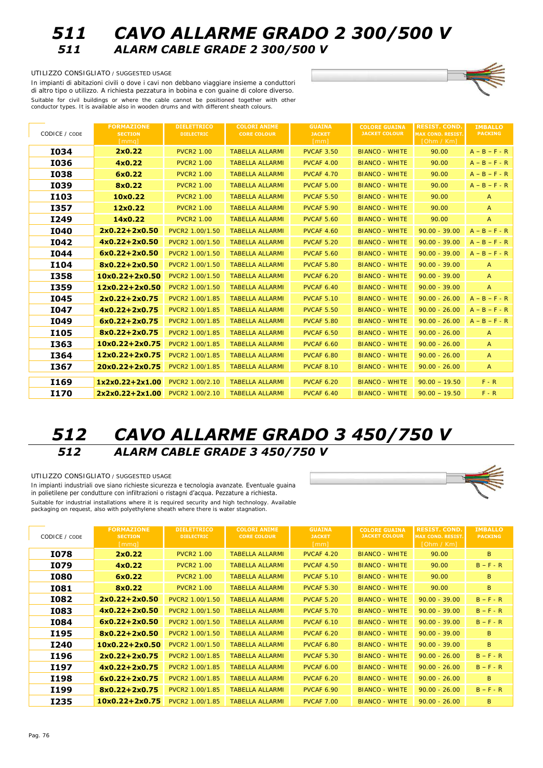## *511 CAVO ALLARME GRADO 2 300/500 V 511 ALARM CABLE GRADE 2 300/500 V*

#### UTILIZZO CONSIGLIATO / SUGGESTED USAGE

In impianti di abitazioni civili o dove i cavi non debbano viaggiare insieme a conduttori di altro tipo o utilizzo. A richiesta pezzatura in bobina e con guaine di colore diverso. Suitable for civil buildings or where the cable cannot be positioned together with other conductor types. It is available also in wooden drums and with different sheath colours.

| <b>CODICE</b> / CODE | <b>FORMAZIONE</b><br><b>SECTION</b> | <b>DIELETTRICO</b><br><b>DIELECTRIC</b> | <b>COLORI ANIME</b><br><b>CORE COLOUR</b> | GUAINA<br><b>JACKET</b> | <b>COLORE GUAINA</b><br><b>JACKET COLOUR</b> | RESIST. COND.<br><b>MAX COND. RESIST.</b> | <b>IMBALLO</b><br><b>PACKING</b> |
|----------------------|-------------------------------------|-----------------------------------------|-------------------------------------------|-------------------------|----------------------------------------------|-------------------------------------------|----------------------------------|
|                      | [mmq]                               |                                         |                                           | [mm]                    |                                              | [Ohm / Km]                                |                                  |
| <b>I034</b>          | 2x0.22                              | <b>PVCR2 1.00</b>                       | <b>TABELLA ALLARMI</b>                    | <b>PVCAF 3.50</b>       | <b>BIANCO - WHITE</b>                        | 90.00                                     | $A - B - F - R$                  |
| <b>I036</b>          | 4x0.22                              | <b>PVCR2 1.00</b>                       | <b>TABELLA ALLARMI</b>                    | <b>PVCAF 4.00</b>       | <b>BIANCO - WHITE</b>                        | 90.00                                     | $A - B - F - R$                  |
| <b>I038</b>          | 6x0.22                              | <b>PVCR2 1.00</b>                       | <b>TABELLA ALLARMI</b>                    | <b>PVCAF 4.70</b>       | <b>BIANCO - WHITE</b>                        | 90.00                                     | $A - B - F - R$                  |
| <b>I039</b>          | 8x0.22                              | <b>PVCR2 1.00</b>                       | <b>TABELLA ALLARMI</b>                    | <b>PVCAF 5.00</b>       | <b>BIANCO - WHITE</b>                        | 90.00                                     | $A - B - F - R$                  |
| <b>I103</b>          | 10x0.22                             | <b>PVCR2 1.00</b>                       | <b>TABELLA ALLARMI</b>                    | <b>PVCAF 5.50</b>       | <b>BIANCO - WHITE</b>                        | 90.00                                     | A                                |
| <b>I357</b>          | 12x0.22                             | <b>PVCR2 1.00</b>                       | <b>TABELLA ALLARMI</b>                    | <b>PVCAF 5.90</b>       | <b>BIANCO - WHITE</b>                        | 90.00                                     | $\mathbf{A}$                     |
| I249                 | 14x0.22                             | <b>PVCR2 1.00</b>                       | <b>TABELLA ALLARMI</b>                    | <b>PVCAF 5.60</b>       | <b>BIANCO - WHITE</b>                        | 90.00                                     | $\mathbf{A}$                     |
| <b>I040</b>          | $2x0.22 + 2x0.50$                   | <b>PVCR2 1.00/1.50</b>                  | <b>TABELLA ALLARMI</b>                    | <b>PVCAF 4.60</b>       | <b>BIANCO - WHITE</b>                        | $90.00 - 39.00$                           | $A - B - F - R$                  |
| <b>I042</b>          | $4x0.22 + 2x0.50$                   | <b>PVCR2 1.00/1.50</b>                  | <b>TABELLA ALLARMI</b>                    | <b>PVCAF 5.20</b>       | <b>BIANCO - WHITE</b>                        | $90.00 - 39.00$                           | $A - B - F - R$                  |
| <b>I044</b>          | $6x0.22 + 2x0.50$                   | <b>PVCR2 1.00/1.50</b>                  | <b>TABELLA ALLARMI</b>                    | <b>PVCAF 5.60</b>       | <b>BIANCO - WHITE</b>                        | $90.00 - 39.00$                           | $A - B - F - R$                  |
| <b>I104</b>          | $8x0.22 + 2x0.50$                   | <b>PVCR2 1.00/1.50</b>                  | <b>TABELLA ALLARMI</b>                    | <b>PVCAF 5.80</b>       | <b>BIANCO - WHITE</b>                        | $90.00 - 39.00$                           | A                                |
| <b>I358</b>          | $10x0.22 + 2x0.50$                  | <b>PVCR2 1.00/1.50</b>                  | <b>TABELLA ALLARMI</b>                    | <b>PVCAF 6.20</b>       | <b>BIANCO - WHITE</b>                        | $90.00 - 39.00$                           | $\mathbf{A}$                     |
| <b>I359</b>          | $12x0.22 + 2x0.50$                  | <b>PVCR2 1.00/1.50</b>                  | <b>TABELLA ALLARMI</b>                    | <b>PVCAF 6.40</b>       | <b>BIANCO - WHITE</b>                        | $90.00 - 39.00$                           | A                                |
| <b>I045</b>          | $2x0.22 + 2x0.75$                   | PVCR2 1.00/1.85                         | <b>TABELLA ALLARMI</b>                    | <b>PVCAF 5.10</b>       | <b>BIANCO - WHITE</b>                        | $90.00 - 26.00$                           | $A - B - F - R$                  |
| <b>I047</b>          | $4x0.22 + 2x0.75$                   | PVCR2 1.00/1.85                         | <b>TABELLA ALLARMI</b>                    | <b>PVCAF 5.50</b>       | <b>BIANCO - WHITE</b>                        | $90.00 - 26.00$                           | $A - B - F - R$                  |
| I049                 | $6x0.22 + 2x0.75$                   | PVCR2 1.00/1.85                         | <b>TABELLA ALLARMI</b>                    | <b>PVCAF 5.80</b>       | <b>BIANCO - WHITE</b>                        | $90.00 - 26.00$                           | $A - B - F - R$                  |
| <b>I105</b>          | $8x0.22 + 2x0.75$                   | PVCR2 1.00/1.85                         | <b>TABELLA ALLARMI</b>                    | <b>PVCAF 6.50</b>       | <b>BIANCO - WHITE</b>                        | $90.00 - 26.00$                           | $\mathbf{A}$                     |
| I363                 | $10x0.22 + 2x0.75$                  | PVCR2 1.00/1.85                         | <b>TABELLA ALLARMI</b>                    | <b>PVCAF 6.60</b>       | <b>BIANCO - WHITE</b>                        | $90.00 - 26.00$                           | $\mathbf{A}$                     |
| <b>I364</b>          | $12x0.22 + 2x0.75$                  | PVCR2 1.00/1.85                         | <b>TABELLA ALLARMI</b>                    | <b>PVCAF 6.80</b>       | <b>BIANCO - WHITE</b>                        | $90.00 - 26.00$                           | $\mathbf{A}$                     |
| I367                 | $20x0.22 + 2x0.75$                  | <b>PVCR2 1.00/1.85</b>                  | <b>TABELLA ALLARMI</b>                    | <b>PVCAF 8.10</b>       | <b>BIANCO - WHITE</b>                        | $90.00 - 26.00$                           | A                                |
| <b>I169</b>          | $1x2x0.22+2x1.00$                   | PVCR2 1.00/2.10                         | <b>TABELLA ALLARMI</b>                    | <b>PVCAF 6.20</b>       | <b>BIANCO - WHITE</b>                        | $90.00 - 19.50$                           | $F - R$                          |
| <b>I170</b>          | 2x2x0.22+2x1.00                     | PVCR2 1.00/2.10                         | <b>TABELLA ALLARMI</b>                    | <b>PVCAF 6.40</b>       | <b>BIANCO - WHITE</b>                        | $90.00 - 19.50$                           | $F - R$                          |
|                      |                                     |                                         |                                           |                         |                                              |                                           |                                  |

# *512 CAVO ALLARME GRADO 3 450/750 V 512 ALARM CABLE GRADE 3 450/750 V*

In impianti industriali ove siano richieste sicurezza e tecnologia avanzate. Eventuale guaina in polietilene per condutture con infiltrazioni o ristagni d'acqua. Pezzature a richiesta. Suitable for industrial installations where it is required security and high technology. Available packaging on request, also with polyethylene sheath where there is water stagnation

UTILIZZO CONSIGLIATO / SUGGESTED USAGE

| CODE / <sub>CODE</sub> | <b>FORMAZIONE</b><br><b>SECTION</b><br>[mmq] | <b>DIELETTRICO</b><br><b>DIELECTRIC</b> | <b>COLORI ANIME</b><br><b>CORE COLOUR</b> | <b>GUAINA</b><br><b>JACKET</b><br>${\rm [mm]}$ | <b>COLORE GUAINA</b><br><b>JACKET COLOUR</b> | <b>RESIST. COND.</b><br><b>MAX COND. RESIST.</b><br>$[Ohm \; \overline{\wedge} \; Km]$ | <b>IMBALLO</b><br><b>PACKING</b> |
|------------------------|----------------------------------------------|-----------------------------------------|-------------------------------------------|------------------------------------------------|----------------------------------------------|----------------------------------------------------------------------------------------|----------------------------------|
| <b>I078</b>            | 2x0.22                                       | <b>PVCR2 1.00</b>                       | <b>TABELLA ALLARMI</b>                    | <b>PVCAF 4.20</b>                              | <b>BIANCO - WHITE</b>                        | 90.00                                                                                  | $\mathbf{B}$                     |
| I079                   | 4x0.22                                       | <b>PVCR2 1.00</b>                       | <b>TABELLA ALLARMI</b>                    | <b>PVCAF 4.50</b>                              | <b>BIANCO - WHITE</b>                        | 90.00                                                                                  | $B - F - R$                      |
| <b>I080</b>            | 6x0.22                                       | <b>PVCR2 1.00</b>                       | <b>TABELLA ALLARMI</b>                    | <b>PVCAF 5.10</b>                              | <b>BIANCO - WHITE</b>                        | 90.00                                                                                  | B                                |
| <b>I081</b>            | 8x0.22                                       | <b>PVCR2 1.00</b>                       | <b>TABELLA ALLARMI</b>                    | <b>PVCAF 5.30</b>                              | <b>BIANCO - WHITE</b>                        | 90.00                                                                                  | $\mathbf{B}$                     |
| <b>I082</b>            | $2x0.22 + 2x0.50$                            | <b>PVCR2 1.00/1.50</b>                  | <b>TABELLA ALLARMI</b>                    | <b>PVCAF 5.20</b>                              | <b>BIANCO - WHITE</b>                        | $90.00 - 39.00$                                                                        | $B - F - R$                      |
| <b>I083</b>            | $4x0.22 + 2x0.50$                            | <b>PVCR2 1.00/1.50</b>                  | <b>TABELLA ALLARMI</b>                    | <b>PVCAF 5.70</b>                              | <b>BIANCO - WHITE</b>                        | $90.00 - 39.00$                                                                        | $B - F - R$                      |
| <b>I084</b>            | $6x0.22 + 2x0.50$                            | <b>PVCR2 1.00/1.50</b>                  | <b>TABELLA ALLARMI</b>                    | <b>PVCAF 6.10</b>                              | <b>BIANCO - WHITE</b>                        | $90.00 - 39.00$                                                                        | $B - F - R$                      |
| <b>I195</b>            | $8x0.22 + 2x0.50$                            | <b>PVCR2 1.00/1.50</b>                  | <b>TABELLA ALLARMI</b>                    | <b>PVCAF 6.20</b>                              | <b>BIANCO - WHITE</b>                        | $90.00 - 39.00$                                                                        | $\bf{B}$                         |
| I240                   | $10x0.22 + 2x0.50$                           | <b>PVCR2 1.00/1.50</b>                  | <b>TABELLA ALLARMI</b>                    | <b>PVCAF 6.80</b>                              | <b>BIANCO - WHITE</b>                        | $90.00 - 39.00$                                                                        | $\mathbf{B}$                     |
| I196                   | $2x0.22 + 2x0.75$                            | <b>PVCR2 1.00/1.85</b>                  | <b>TABELLA ALLARMI</b>                    | <b>PVCAF 5.30</b>                              | <b>BIANCO - WHITE</b>                        | $90.00 - 26.00$                                                                        | $B - F - R$                      |
| I197                   | $4x0.22 + 2x0.75$                            | <b>PVCR2 1.00/1.85</b>                  | <b>TABELLA ALLARMI</b>                    | <b>PVCAF 6.00</b>                              | <b>BIANCO - WHITE</b>                        | $90.00 - 26.00$                                                                        | $B - F - R$                      |
| <b>I198</b>            | $6x0.22 + 2x0.75$                            | <b>PVCR2 1.00/1.85</b>                  | <b>TABELLA ALLARMI</b>                    | <b>PVCAF 6.20</b>                              | <b>BIANCO - WHITE</b>                        | $90.00 - 26.00$                                                                        | $\mathbf{B}$                     |
| I199                   | $8x0.22 + 2x0.75$                            | <b>PVCR2 1.00/1.85</b>                  | <b>TABELLA ALLARMI</b>                    | <b>PVCAF 6.90</b>                              | <b>BIANCO - WHITE</b>                        | $90.00 - 26.00$                                                                        | $B - F - R$                      |
| <b>I235</b>            | $10x0.22 + 2x0.75$                           | PVCR2 1.00/1.85                         | <b>TABELLA ALLARMI</b>                    | <b>PVCAF 7.00</b>                              | <b>BIANCO - WHITE</b>                        | $90.00 - 26.00$                                                                        | $\mathbf{B}$                     |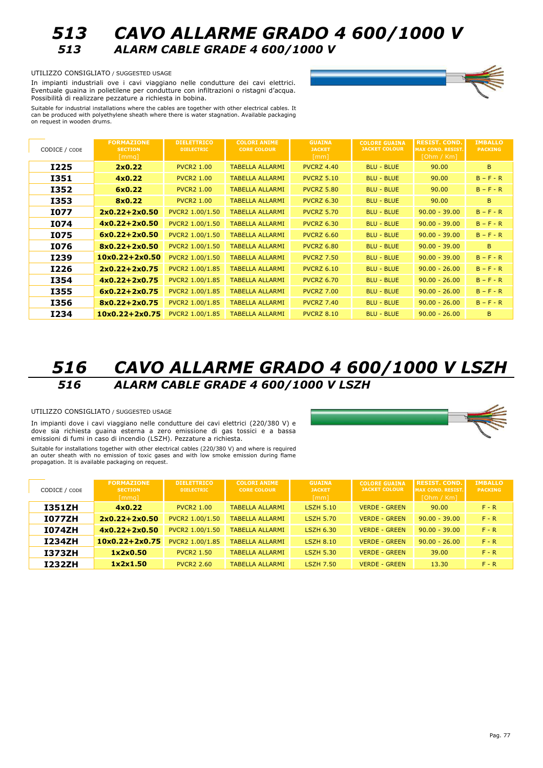

## *513 CAVO ALLARME GRADO 4 600/1000 V 513 ALARM CABLE GRADE 4 600/1000 V*

UTILIZZO CONSIGLIATO / SUGGESTED USAGE

In impianti industriali ove i cavi viaggiano nelle condutture dei cavi elettrici. Eventuale guaina in polietilene per condutture con infiltrazioni o ristagni d'acqua. Possibilità di realizzare pezzature a richiesta in bobina.



Suitable for industrial installations where the cables are together with other electrical cables. It can be produced with polyethylene sheath where there is water stagnation. Available packaging on request in wooden drums.

| CODICE / CODE | <b>FORMAZIONE</b><br><b>SECTION</b><br>[mmq] | <b>DIELETTRICO</b><br><b>DIELECTRIC</b> | <b>COLORI ANIME</b><br><b>CORE COLOUR</b> | <b>GUAINA</b><br><b>JACKET</b><br>[mm] | <b>COLORE GUAINA</b><br><b>JACKET COLOUR</b> | <b>RESIST. COND.</b><br><b>MAX COND. RESIST.</b><br>「[Ohm 7 Km]」 | <b>IMBALLO</b><br><b>PACKING</b> |
|---------------|----------------------------------------------|-----------------------------------------|-------------------------------------------|----------------------------------------|----------------------------------------------|------------------------------------------------------------------|----------------------------------|
| <b>I225</b>   | 2x0.22                                       | <b>PVCR2 1.00</b>                       | <b>TABELLA ALLARMI</b>                    | <b>PVCRZ 4.40</b>                      | <b>BLU - BLUE</b>                            | 90.00                                                            | B.                               |
| <b>I351</b>   | 4x0.22                                       | <b>PVCR2 1.00</b>                       | <b>TABELLA ALLARMI</b>                    | <b>PVCRZ 5.10</b>                      | <b>BLU - BLUE</b>                            | 90.00                                                            | $B - F - R$                      |
| <b>I352</b>   | 6x0.22                                       | <b>PVCR2 1.00</b>                       | <b>TABELLA ALLARMI</b>                    | <b>PVCRZ 5.80</b>                      | <b>BLU - BLUE</b>                            | 90.00                                                            | $B - F - R$                      |
| I353          | 8x0.22                                       | <b>PVCR2 1.00</b>                       | <b>TABELLA ALLARMI</b>                    | <b>PVCRZ 6.30</b>                      | <b>BLU - BLUE</b>                            | 90.00                                                            | B.                               |
| I077          | $2x0.22 + 2x0.50$                            | PVCR2 1.00/1.50                         | <b>TABELLA ALLARMI</b>                    | <b>PVCRZ 5.70</b>                      | <b>BLU - BLUE</b>                            | $90.00 - 39.00$                                                  | $B - F - R$                      |
| <b>I074</b>   | $4x0.22 + 2x0.50$                            | PVCR2 1.00/1.50                         | <b>TABELLA ALLARMI</b>                    | <b>PVCRZ 6.30</b>                      | <b>BLU - BLUE</b>                            | $90.00 - 39.00$                                                  | $B - F - R$                      |
| I075          | $6x0.22 + 2x0.50$                            | PVCR2 1.00/1.50                         | <b>TABELLA ALLARMI</b>                    | <b>PVCRZ 6.60</b>                      | <b>BLU - BLUE</b>                            | $90.00 - 39.00$                                                  | $B - F - R$                      |
| <b>I076</b>   | $8x0.22 + 2x0.50$                            | PVCR2 1.00/1.50                         | <b>TABELLA ALLARMI</b>                    | <b>PVCRZ 6.80</b>                      | <b>BLU - BLUE</b>                            | $90.00 - 39.00$                                                  | B.                               |
| <b>I239</b>   | $10x0.22 + 2x0.50$                           | PVCR2 1.00/1.50                         | <b>TABELLA ALLARMI</b>                    | <b>PVCRZ 7.50</b>                      | <b>BLU - BLUE</b>                            | $90.00 - 39.00$                                                  | $B - F - R$                      |
| <b>I226</b>   | $2x0.22 + 2x0.75$                            | PVCR2 1.00/1.85                         | <b>TABELLA ALLARMI</b>                    | <b>PVCRZ 6.10</b>                      | <b>BLU - BLUE</b>                            | $90.00 - 26.00$                                                  | $B - F - R$                      |
| <b>I354</b>   | $4x0.22 + 2x0.75$                            | PVCR2 1.00/1.85                         | <b>TABELLA ALLARMI</b>                    | <b>PVCRZ 6.70</b>                      | <b>BLU - BLUE</b>                            | $90.00 - 26.00$                                                  | $B - F - R$                      |
| <b>I355</b>   | $6x0.22 + 2x0.75$                            | PVCR2 1.00/1.85                         | <b>TABELLA ALLARMI</b>                    | <b>PVCRZ 7.00</b>                      | <b>BLU - BLUE</b>                            | $90.00 - 26.00$                                                  | $B - F - R$                      |
| <b>I356</b>   | $8x0.22 + 2x0.75$                            | PVCR2 1.00/1.85                         | <b>TABELLA ALLARMI</b>                    | <b>PVCRZ 7.40</b>                      | <b>BLU - BLUE</b>                            | $90.00 - 26.00$                                                  | $B - F - R$                      |
| <b>I234</b>   | $10x0.22 + 2x0.75$                           | PVCR2 1.00/1.85                         | <b>TABELLA ALLARMI</b>                    | <b>PVCRZ 8.10</b>                      | <b>BLU - BLUE</b>                            | $90.00 - 26.00$                                                  | B.                               |

# *516 CAVO ALLARME GRADO 4 600/1000 V LSZH 516 ALARM CABLE GRADE 4 600/1000 V LSZH*

#### UTILIZZO CONSIGLIATO / SUGGESTED USAGE

In impianti dove i cavi viaggiano nelle condutture dei cavi elettrici (220/380 V) e dove sia richiesta guaina esterna a zero emissione di gas tossici e a bassa emissioni di fumi in caso di incendio (LSZH). Pezzature a richiesta.

Suitable for installations together with other electrical cables (220/380 V) and where is required an outer sheath with no emission of toxic gases and with low smoke emission during flame propagation. It is available packaging on request.

| CODICE / CODE | <b>FORMAZIONE</b><br><b>SECTION</b><br>[mmq] | <b>DIELETTRICO</b><br><b>DIELECTRIC</b> | <b>COLORI ANIME</b><br><b>CORE COLOUR</b> | <b>GUAINA</b><br><b>JACKET</b><br>[mm] | <b>COLORE GUAINA</b><br><b>JACKET COLOUR</b> | <b>RESIST. COND.</b><br><b>MAX COND. RESIST.</b><br>[Ohm / Km] | <b>IMBALLO</b><br><b>PACKING</b> |
|---------------|----------------------------------------------|-----------------------------------------|-------------------------------------------|----------------------------------------|----------------------------------------------|----------------------------------------------------------------|----------------------------------|
| <b>I351ZH</b> | 4x0.22                                       | <b>PVCR2 1.00</b>                       | <b>TABELLA ALLARMI</b>                    | <b>LSZH 5.10</b>                       | <b>VERDE - GREEN</b>                         | 90.00                                                          | $F - R$                          |
| <b>I077ZH</b> | $2x0.22 + 2x0.50$                            | PVCR2 1.00/1.50                         | <b>TABELLA ALLARMI</b>                    | <b>LSZH 5.70</b>                       | <b>VERDE - GREEN</b>                         | $90.00 - 39.00$                                                | $F - R$                          |
| <b>I074ZH</b> | $4x0.22 + 2x0.50$                            | PVCR2 1.00/1.50                         | <b>TABELLA ALLARMI</b>                    | <b>LSZH 6.30</b>                       | <b>VERDE - GREEN</b>                         | $90.00 - 39.00$                                                | $F - R$                          |
| <b>I234ZH</b> | $10x0.22 + 2x0.75$                           | PVCR2 1.00/1.85                         | <b>TABELLA ALLARMI</b>                    | <b>LSZH 8.10</b>                       | <b>VERDE - GREEN</b>                         | $90.00 - 26.00$                                                | $F - R$                          |
| <b>I373ZH</b> | 1x2x0.50                                     | <b>PVCR2 1.50</b>                       | <b>TABELLA ALLARMI</b>                    | <b>LSZH 5.30</b>                       | <b>VERDE - GREEN</b>                         | 39.00                                                          | $F - R$                          |
| <b>I232ZH</b> | 1x2x1.50                                     | <b>PVCR2 2.60</b>                       | <b>TABELLA ALLARMI</b>                    | <b>LSZH 7.50</b>                       | VERDE - GREEN                                | 13.30                                                          | $F - R$                          |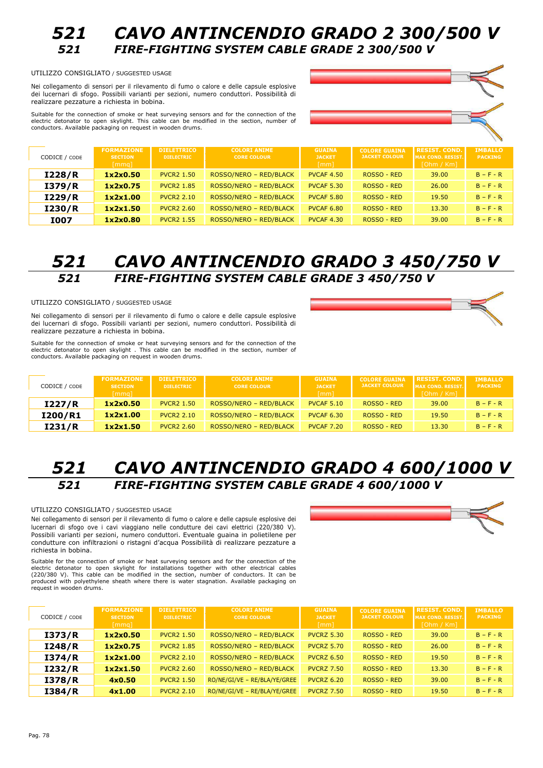

#### UTILIZZO CONSIGLIATO / SUGGESTED USAGE

Nei collegamento di sensori per il rilevamento di fumo o calore e delle capsule esplosive dei lucernari di sfogo. Possibili varianti per sezioni, numero conduttori. Possibilità di realizzare pezzature a richiesta in bobina.

Suitable for the connection of smoke or heat surveying sensors and for the connection of the electric detonator to open skylight. This cable can be modified in the section, number of conductors. Available packaging on request in wooden drums.



| CODICE / CODE | <b>FORMAZIONE</b><br><b>SECTION</b><br>[mmq] | <b>DIELETTRICO</b><br><b>DIELECTRIC</b> | <b>COLORI ANIME</b><br><b>CORE COLOUR</b> | <b>GUAINA</b><br><b>JACKET</b><br>[mm] | <b>COLORE GUAINA</b><br><b>JACKET COLOUR</b> | <b>RESIST. COND.</b><br><b>MAX COND. RESIST.</b><br>[Ohm / Km] | <b>IMBALLO</b><br><b>PACKING</b> |
|---------------|----------------------------------------------|-----------------------------------------|-------------------------------------------|----------------------------------------|----------------------------------------------|----------------------------------------------------------------|----------------------------------|
| I228/R        | 1x2x0.50                                     | <b>PVCR2 1.50</b>                       | ROSSO/NERO - RED/BLACK                    | <b>PVCAF 4.50</b>                      | ROSSO - RED                                  | 39.00                                                          | $B - F - R$                      |
| I379/R        | 1x2x0.75                                     | <b>PVCR2 1.85</b>                       | ROSSO/NERO - RED/BLACK                    | <b>PVCAF 5.30</b>                      | ROSSO - RED                                  | 26.00                                                          | $B - F - R$                      |
| I229/R        | 1x2x1.00                                     | <b>PVCR2 2.10</b>                       | ROSSO/NERO - RED/BLACK                    | <b>PVCAF 5.80</b>                      | ROSSO - RED                                  | 19.50                                                          | $B - F - R$                      |
| 1230/R        | 1x2x1.50                                     | <b>PVCR2 2.60</b>                       | ROSSO/NERO - RED/BLACK                    | <b>PVCAF 6.80</b>                      | ROSSO - RED                                  | 13.30                                                          | $B - F - R$                      |
| <b>I007</b>   | 1x2x0.80                                     | <b>PVCR2 1.55</b>                       | ROSSO/NERO - RED/BLACK                    | <b>PVCAF 4.30</b>                      | ROSSO - RED                                  | 39.00                                                          | $B - F - R$                      |

## *521 CAVO ANTINCENDIO GRADO 3 450/750 V 521 FIRE-FIGHTING SYSTEM CABLE GRADE 3 450/750 V*

UTILIZZO CONSIGLIATO / SUGGESTED USAGE

Nei collegamento di sensori per il rilevamento di fumo o calore e delle capsule esplosive dei lucernari di sfogo. Possibili varianti per sezioni, numero conduttori. Possibilità di realizzare pezzature a richiesta in bobina.

Suitable for the connection of smoke or heat surveying sensors and for the connection of the electric detonator to open skylight . This cable can be modified in the section, number of conductors. Available packaging on request in wooden drums.



| CODICE / CODE | <b>FORMAZIONE</b><br><b>SECTION</b><br>[mmq] | <b>DIELETTRICO</b><br><b>DIELECTRIC</b> | <b>COLORI ANIME</b><br><b>CORE COLOUR</b> | <b>GUAINA</b><br><b>JACKET</b><br>mml | <b>COLORE GUAINA</b><br><b>JACKET COLOUR</b> | <b>RESIST. COND.</b><br><b>IMAX COND. RESIST.</b><br>[Ohm / Km] | <b>IMBALLO</b><br><b>PACKING</b> |
|---------------|----------------------------------------------|-----------------------------------------|-------------------------------------------|---------------------------------------|----------------------------------------------|-----------------------------------------------------------------|----------------------------------|
| I227/R        | 1x2x0.50                                     | <b>PVCR2 1.50</b>                       | ROSSO/NERO - RED/BLACK                    | <b>PVCAF 5.10</b>                     | ROSSO - RED                                  | 39.00                                                           | $B - F - R$                      |
| I200/R1       | 1x2x1.00                                     | <b>PVCR2 2.10</b>                       | ROSSO/NERO - RED/BLACK                    | <b>PVCAF 6.30</b>                     | ROSSO - RED                                  | 19.50                                                           | $B - F - R$                      |
| I231/R        | 1x2x1.50                                     | <b>PVCR2 2.60</b>                       | ROSSO/NERO - RED/BLACK                    | <b>PVCAF 7.20</b>                     | ROSSO - RED                                  | 13.30                                                           | $B - F - R$                      |

## *521 CAVO ANTINCENDIO GRADO 4 600/1000 V 521 FIRE-FIGHTING SYSTEM CABLE GRADE 4 600/1000 V*

#### UTILIZZO CONSIGLIATO / SUGGESTED USAGE

Nei collegamento di sensori per il rilevamento di fumo o calore e delle capsule esplosive dei lucernari di sfogo ove i cavi viaggiano nelle condutture dei cavi elettrici (220/380 V). Possibili varianti per sezioni, numero conduttori. Eventuale guaina in polietilene per condutture con infiltrazioni o ristagni d'acqua Possibilità di realizzare pezzature a richiesta in bobina.

Suitable for the connection of smoke or heat surveying sensors and for the connection of the<br>electric detonator to open skylight for installations together with other electrical cables<br>(220/380 V). This cable can be modifi request in wooden drums.



| CODICE / CODE | <b>FORMAZIONE</b><br><b>SECTION</b><br>[mmq] | <b>DIELETTRICO</b><br><b>DIELECTRIC</b> | <b>COLORI ANIME</b><br><b>CORE COLOUR</b> | <b>GUAINA</b><br><b>JACKET</b><br>[mm] | <b>COLORE GUAINA</b><br><b>JACKET COLOUR</b> | <b>RESIST. COND.</b><br><b>MAX COND. RESIST.</b><br>[Ohm / Km] | <b>IMBALLO</b><br><b>PACKING</b> |
|---------------|----------------------------------------------|-----------------------------------------|-------------------------------------------|----------------------------------------|----------------------------------------------|----------------------------------------------------------------|----------------------------------|
| 1373/R        | 1x2x0.50                                     | <b>PVCR2 1.50</b>                       | ROSSO/NERO - RED/BLACK                    | <b>PVCRZ 5.30</b>                      | ROSSO - RED                                  | 39.00                                                          | $B - F - R$                      |
| I248/R        | 1x2x0.75                                     | <b>PVCR2 1.85</b>                       | ROSSO/NERO - RED/BLACK                    | <b>PVCRZ 5.70</b>                      | ROSSO - RED                                  | 26.00                                                          | $B - F - R$                      |
| 1374/R        | 1x2x1.00                                     | <b>PVCR2 2.10</b>                       | ROSSO/NERO - RED/BLACK                    | <b>PVCRZ 6.50</b>                      | ROSSO - RED                                  | 19.50                                                          | $B - F - R$                      |
| I232/R        | 1x2x1.50                                     | <b>PVCR2 2.60</b>                       | ROSSO/NERO - RED/BLACK                    | <b>PVCRZ 7.50</b>                      | ROSSO - RED                                  | 13.30                                                          | $B - F - R$                      |
| 1378/R        | 4x0.50                                       | <b>PVCR2 1.50</b>                       | RO/NE/GI/VE - RE/BLA/YE/GREE              | <b>PVCRZ 6.20</b>                      | ROSSO - RED                                  | 39.00                                                          | $B - F - R$                      |
| I384/R        | 4x1.00                                       | <b>PVCR2 2.10</b>                       | RO/NE/GI/VE - RE/BLA/YE/GREE              | <b>PVCRZ 7.50</b>                      | ROSSO - RED                                  | 19.50                                                          | $B - F - R$                      |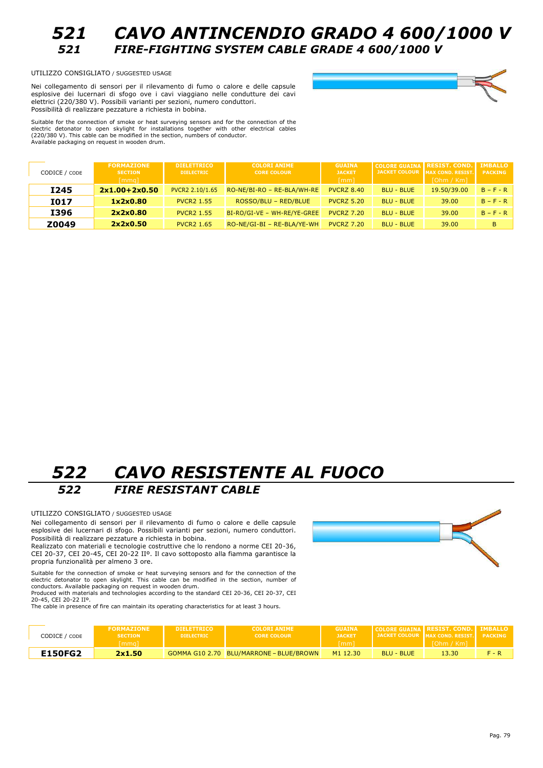

*521 CAVO ANTINCENDIO GRADO 4 600/1000 V 521 FIRE-FIGHTING SYSTEM CABLE GRADE 4 600/1000 V*

UTILIZZO CONSIGLIATO / SUGGESTED USAGE

Nei collegamento di sensori per il rilevamento di fumo o calore e delle capsule esplosive dei lucernari di sfogo ove i cavi viaggiano nelle condutture dei cavi elettrici (220/380 V). Possibili varianti per sezioni, numero conduttori. Possibilità di realizzare pezzature a richiesta in bobina.

Suitable for the connection of smoke or heat surveying sensors and for the connection of the electric detonator to open skylight for installations together with other electrical cables (220/380 V). This cable can be modified in the section, numbers of conductor. Available packaging on request in wooden drum.

| CODICE / CODE | <b>FORMAZIONE</b><br><b>SECTION</b><br>[mmq] | <b>DIELETTRICO</b><br><b>DIELECTRIC</b> | <b>COLORI ANIME</b><br><b>CORE COLOUR</b> | <b>GUAINA</b><br><b>JACKET</b><br>$\lceil mm \rceil$ | <b>COLORE GUAINA RESIST. COND.</b> | JACKET COLOUR MAX COND. RESIST.<br>[Ohm / Km] | <b>IMBALLO</b><br><b>PACKING</b> |
|---------------|----------------------------------------------|-----------------------------------------|-------------------------------------------|------------------------------------------------------|------------------------------------|-----------------------------------------------|----------------------------------|
| <b>I245</b>   | $2x1.00 + 2x0.50$                            | PVCR2 2.10/1.65                         | RO-NE/BI-RO - RE-BLA/WH-RE                | <b>PVCRZ 8.40</b>                                    | <b>BLU - BLUE</b>                  | 19.50/39.00                                   | $B - F - R$                      |
| <b>I017</b>   | 1x2x0.80                                     | <b>PVCR2 1.55</b>                       | ROSSO/BLU - RED/BLUE                      | <b>PVCRZ 5.20</b>                                    | <b>BLU - BLUE</b>                  | 39.00                                         | $B - F - R$                      |
| <b>I396</b>   | 2x2x0.80                                     | <b>PVCR2 1.55</b>                       | BI-RO/GI-VE - WH-RE/YE-GREE               | <b>PVCRZ 7.20</b>                                    | <b>BLU - BLUE</b>                  | 39.00                                         | $B - F - R$                      |
| Z0049         | 2x2x0.50                                     | <b>PVCR2 1.65</b>                       | RO-NE/GI-BI - RE-BLA/YE-WH                | <b>PVCRZ 7.20</b>                                    | <b>BLU - BLUE</b>                  | 39.00                                         | <b>B</b>                         |

# *522 CAVO RESISTENTE AL FUOCO 522 FIRE RESISTANT CABLE*

UTILIZZO CONSIGLIATO / SUGGESTED USAGE

Nei collegamento di sensori per il rilevamento di fumo o calore e delle capsule esplosive dei lucernari di sfogo. Possibili varianti per sezioni, numero conduttori. Possibilità di realizzare pezzature a richiesta in bobina.

Realizzato con materiali e tecnologie costruttive che lo rendono a norme CEI 20-36, CEI 20-37, CEI 20-45, CEI 20-22 IIº. Il cavo sottoposto alla fiamma garantisce la propria funzionalità per almeno 3 ore.

Suitable for the connection of smoke or heat surveying sensors and for the connection of the electric detonator to open skylight. This cable can be modified in the section, number of conductors. Available packaging on request in wooden drum. Produced with materials and technologies according to the standard CEI 20-36, CEI 20-37, CEI

20-45, CEI 20-22 IIº.

The cable in presence of fire can maintain its operating characteristics for at least 3 hours.

| CODICE / CODE  | <b>FORMAZIONE</b><br><b>SECTION</b><br>l mma l | <b>IDIELETTRICO</b><br><b>DIELECTRIC</b> | <b>COLORI ANIME</b><br><b>CORE COLOUR</b> | <b>GUATNA</b><br><b>JACKET</b><br>\[mm] |                   | <b>COLORE GUATNA I RESIST. COND. I IMBALLO</b><br>JACKET COLOUR MAX COND. RESIST.<br>$\sqrt{\text{fOhm}/\text{Km}}$ | <b>PACKING</b> |
|----------------|------------------------------------------------|------------------------------------------|-------------------------------------------|-----------------------------------------|-------------------|---------------------------------------------------------------------------------------------------------------------|----------------|
| <b>E150FG2</b> | 2x1.50                                         |                                          | GOMMA G10 2.70 BLU/MARRONE - BLUE/BROWN   | M <sub>1</sub> 12.30                    | <b>BLU - BLUE</b> | 13.30                                                                                                               | $F - R$        |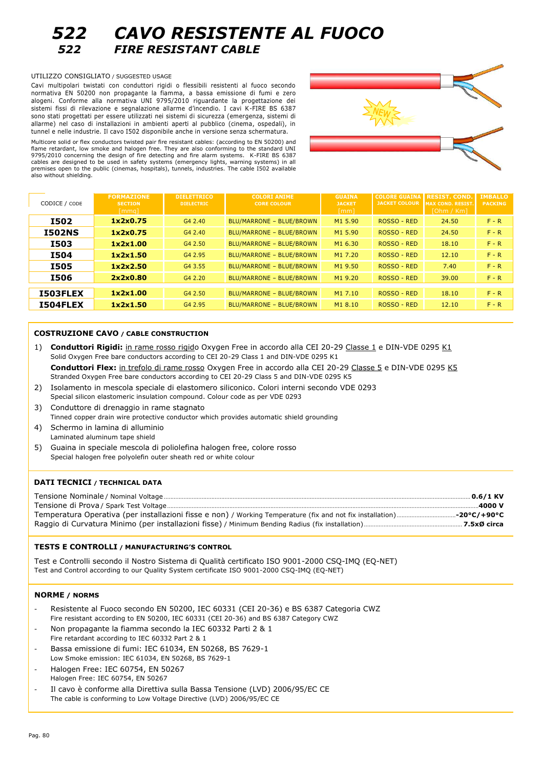

## *522 CAVO RESISTENTE AL FUOCO 522 FIRE RESISTANT CABLE*

#### UTILIZZO CONSIGLIATO / SUGGESTED USAGE

Cavi multipolari twistati con conduttori rigidi o flessibili resistenti al fuoco secondo normativa EN 50200 non propagante la fiamma, a bassa emissione di fumi e zero alogeni. Conforme alla normativa UNI 9795/2010 riguardante la progettazione dei sistemi fissi di rilevazione e segnalazione allarme d'incendio. I cavi K-FIRE BS 6387 sono stati progettati per essere utilizzati nei sistemi di sicurezza (emergenza, sistemi di allarme) nel caso di installazioni in ambienti aperti al pubblico (cinema, ospedali), in tunnel e nelle industrie. Il cavo I502 disponibile anche in versione senza schermatura.

Multicore solid or flex conductors twisted pair fire resistant cables: (according to EN 50200) and flame retardant, low smoke and halogen free. They are also conforming to the standard UNI 9795/2010 concerning the design of fire detecting and fire alarm systems. K-FIRE BS 6387 cables are designed to be used in safety systems (emergency lights, warning systems) in all premises open to the public (cinemas, hospitals), tunnels, industries. The cable I502 available also without shielding.



| CODICE / CODE   | <b>FORMAZIONE</b><br><b>SECTION</b><br>$\lceil$ mmq $\rceil$ | <b>DIELETTRICO</b><br><b>DIELECTRIC</b> | <b>COLORI ANIME</b><br><b>CORE COLOUR</b> | <b>GUAINA</b><br><b>JACKET</b><br>$\lceil mm \rceil$ | <b>COLORE GUAINA</b><br><b>JACKET COLOUR</b> | <b>RESIST. COND</b><br><b>MAX COND. RESIST.</b><br>[Ohm / Km] | <b>IMBALLO</b><br><b>PACKING</b> |
|-----------------|--------------------------------------------------------------|-----------------------------------------|-------------------------------------------|------------------------------------------------------|----------------------------------------------|---------------------------------------------------------------|----------------------------------|
| <b>I502</b>     | 1x2x0.75                                                     | G4 2.40                                 | BLU/MARRONE - BLUE/BROWN                  | M1 5.90                                              | ROSSO - RED                                  | 24.50                                                         | $F - R$                          |
| <b>I502NS</b>   | 1x2x0.75                                                     | G4 2.40                                 | BLU/MARRONE - BLUE/BROWN                  | M1 5.90                                              | ROSSO - RED                                  | 24.50                                                         | $F - R$                          |
| <b>I503</b>     | 1x2x1.00                                                     | G4 2.50                                 | BLU/MARRONE - BLUE/BROWN                  | M1 6.30                                              | ROSSO - RED                                  | 18.10                                                         | $F - R$                          |
| <b>I504</b>     | 1x2x1.50                                                     | G4 2.95                                 | BLU/MARRONE - BLUE/BROWN                  | M1 7.20                                              | ROSSO - RED                                  | 12.10                                                         | $F - R$                          |
| <b>I505</b>     | 1x2x2.50                                                     | G4 3.55                                 | BLU/MARRONE - BLUE/BROWN                  | M1 9.50                                              | ROSSO - RED                                  | 7.40                                                          | $F - R$                          |
| <b>I506</b>     | 2x2x0.80                                                     | G4 2.20                                 | BLU/MARRONE - BLUE/BROWN                  | M1 9.20                                              | ROSSO - RED                                  | 39.00                                                         | $F - R$                          |
| <b>I503FLEX</b> | 1x2x1.00                                                     | G4 2.50                                 | BLU/MARRONE - BLUE/BROWN                  | M1 7.10                                              | ROSSO - RED                                  | 18.10                                                         | $F - R$                          |
| <b>I504FLEX</b> | 1x2x1.50                                                     | G4 2.95                                 | BLU/MARRONE - BLUE/BROWN                  | M18.10                                               | ROSSO - RED                                  | 12.10                                                         | $F - R$                          |

#### **COSTRUZIONE CAVO / CABLE CONSTRUCTION**

- 1) **Conduttori Rigidi:** in rame rosso rigido Oxygen Free in accordo alla CEI 20-29 Classe 1 e DIN-VDE 0295 K1 Solid Oxygen Free bare conductors according to CEI 20-29 Class 1 and DIN-VDE 0295 K1 Conduttori Flex: in trefolo di rame rosso Oxygen Free in accordo alla CEI 20-29 Classe 5 e DIN-VDE 0295 K5 Stranded Oxygen Free bare conductors according to CEI 20-29 Class 5 and DIN-VDE 0295 K5 2) Isolamento in mescola speciale di elastomero siliconico. Colori interni secondo VDE 0293
- Special silicon elastomeric insulation compound. Colour code as per VDE 0293
- 3) Conduttore di drenaggio in rame stagnato Tinned copper drain wire protective conductor which provides automatic shield grounding 4) Schermo in lamina di alluminio
- Laminated aluminum tape shield
- 5) Guaina in speciale mescola di poliolefina halogen free, colore rosso Special halogen free polyolefin outer sheath red or white colour

#### **DATI TECNICI / TECHNICAL DATA**

| .4000 V |
|---------|
|         |
|         |

#### **TESTS E CONTROLLI** / **MANUFACTURING'S CONTROL**

Test e Controlli secondo il Nostro Sistema di Qualità certificato ISO 9001-2000 CSQ-IMQ (EQ-NET) Test and Control according to our Quality System certificate ISO 9001-2000 CSQ-IMQ (EQ-NET)

#### **NORME / NORMS**

- Resistente al Fuoco secondo EN 50200, IEC 60331 (CEI 20-36) e BS 6387 Categoria CWZ Fire resistant according to EN 50200, IEC 60331 (CEI 20-36) and BS 6387 Category CWZ
- Non propagante la fiamma secondo la IEC 60332 Parti 2 & 1 Fire retardant according to IEC 60332 Part 2 & 1
- Bassa emissione di fumi: IEC 61034, EN 50268, BS 7629-1 Low Smoke emission: IEC 61034, EN 50268, BS 7629-1
- Halogen Free: IEC 60754, EN 50267
- Halogen Free: IEC 60754, EN 50267
- Il cavo è conforme alla Direttiva sulla Bassa Tensione (LVD) 2006/95/EC CE The cable is conforming to Low Voltage Directive (LVD) 2006/95/EC CE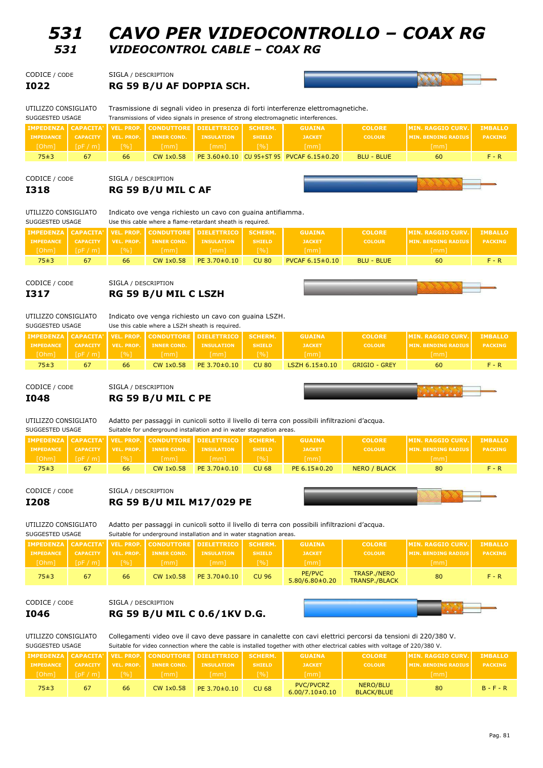| SUGGESTED USAGE  |                 |              | Suitable for video connection where the cable is installed together with other electrical cables with voltage of 220/380 V. |                                                              |                     |                                          |                               |                             |                |  |  |  |
|------------------|-----------------|--------------|-----------------------------------------------------------------------------------------------------------------------------|--------------------------------------------------------------|---------------------|------------------------------------------|-------------------------------|-----------------------------|----------------|--|--|--|
|                  |                 |              |                                                                                                                             | <b>IMPEDENZA CAPACITA' VEL. PROP. CONDUTTORE DIELETTRICO</b> | SCHERM.             | <b>GUAINA</b>                            | <b>COLORE</b>                 | <b>IMIN. RAGGIO CURV.I.</b> | <b>IMBALLO</b> |  |  |  |
| <b>IMPEDANCE</b> | <b>CAPACITY</b> | VEL. PROP.   | <b>INNER COND.</b>                                                                                                          | <b>INSULATION</b>                                            | <b>SHIELD</b>       | <b>JACKET</b>                            | <b>COLOUR</b>                 | <b>MIN. BENDING RADIUS</b>  | <b>PACKING</b> |  |  |  |
| [Ohm]            | [DF/m]          | $\sqrt{961}$ | [mm]                                                                                                                        | [mm]                                                         | $\lceil 9/6 \rceil$ | [mm]                                     |                               | [mm]                        |                |  |  |  |
| 75±3             | 67              | 66           | CW 1x0.58                                                                                                                   | PE 3.70±0.10                                                 | <b>CU 68</b>        | <b>PVC/PVCRZ</b><br>$6.00/7.10 \pm 0.10$ | NERO/BLU<br><b>BLACK/BLUE</b> | 80                          | $B - F - R$    |  |  |  |

UTILIZZO CONSIGLIATO Collegamenti video ove il cavo deve passare in canalette con cavi elettrici percorsi da tensioni di 220/380 V.

# **I046 RG 59 B/U MIL C 0.6/1KV D.G.**

CODICE / CODE

| <b>PEDANCE</b><br>Ohm <sub>1</sub> | <b>CAPACITY</b><br>[DF/m] | VEL. PROP.<br>$\lceil 9/6 \rceil$ | <b>INNER COND.</b><br>[mm] | <b>INSULATION</b><br>[mm] | <b>SHIELD</b><br>[%] | <b>JACKET</b><br>[mm]          | <b>COLOUR</b>                       | <b>MIN. BENDING RADIUS</b><br>[mm] | <b>PACKIN</b> |
|------------------------------------|---------------------------|-----------------------------------|----------------------------|---------------------------|----------------------|--------------------------------|-------------------------------------|------------------------------------|---------------|
| 75±3                               | 67                        | 66                                | CW 1x0.58                  | PE 3.70±0.10              | <b>CU 96</b>         | PE/PVC<br>$5.80/6.80 \pm 0.20$ | <b>TRASP./NERO</b><br>TRANSP./BLACK | 80                                 | $F - R$       |
| NICE / CODE                        |                           | SIGLA / DESCRIPTION               |                            |                           |                      |                                |                                     |                                    |               |

| UTILIZZO CONSIGLIATO | Adatto per passaggi in cunicoli sotto il livello di terra con possibili infiltrazioni d'acqua. |                     |                                                                      |                                                                                  |               |               |               |                          |                |
|----------------------|------------------------------------------------------------------------------------------------|---------------------|----------------------------------------------------------------------|----------------------------------------------------------------------------------|---------------|---------------|---------------|--------------------------|----------------|
| SUGGESTED USAGE      |                                                                                                |                     | Suitable for underground installation and in water stagnation areas. |                                                                                  |               |               |               |                          |                |
|                      |                                                                                                |                     |                                                                      | <b>IMPEDENZA   CAPACITA'   VEL. PROP.   CONDUTTORE   DIELETTRICO   SCHERM.  </b> |               | <b>GUAINA</b> | <b>COLORE</b> | <b>MIN. RAGGIO CURV.</b> | <b>IMBALLO</b> |
| <b>IMPEDANCE</b>     | <b>CAPACITY</b>                                                                                | VEL. PROP.          | <b>INNER COND.</b>                                                   | <b>INSULATION</b>                                                                | <b>SHIELD</b> | <b>JACKET</b> | <b>COLOUR</b> | MIN. BENDING RADIUS      | <b>PACKING</b> |
| [Ohm]                | [DF/m]                                                                                         | $\lceil 9/6 \rceil$ | [mm]                                                                 | [mm]                                                                             | I %1'         | [mm]          |               | [mm]                     |                |

CODICE / CODE SIGLA / DESCRIPTION

**I048 RG 59 B/U MIL C PE**

CODICE / CODE SIGLA / DESCRIPTION **I208 RG 59 B/U MIL M17/029 PE**

SUGGESTED USAGE Suitable for underground installation and in water stagnation areas.

75±3 | 67 | 66 | CW 1x0.58 |PE 3.70±0.10 | CU 68 | PE 6.15±0.20 | NERO / BLACK | 80 | F - R

|                                    | Use this cable where a LSZH sheath is required.<br>SUGGESTED USAGE |                   |                      |                               |                     |                        |                      |                             |                |
|------------------------------------|--------------------------------------------------------------------|-------------------|----------------------|-------------------------------|---------------------|------------------------|----------------------|-----------------------------|----------------|
| IMPEDENZA   CAPACITA'   VEL. PROP. |                                                                    |                   |                      | <b>CONDUTTORE DIELETTRICO</b> | SCHERM.             | <b>GUAINA</b>          | <b>COLORE</b>        | <b>IMIN. RAGGIO CURV. I</b> | <b>IMBALLO</b> |
| <b>IMPEDANCE</b>                   | <b>CAPACITY</b>                                                    | <b>VEL. PROP.</b> | <b>INNER COND.</b>   | <b>INSULATION</b>             | <b>SHIELD</b>       | <b>JACKET</b>          | <b>COLOUR</b>        | <b>MIN. BENDING RADIUS</b>  | <b>PACKING</b> |
| \[Ohm] <sup>\</sup>                | [DF/m]                                                             | ا⊺%]ا             | $\lceil$ mm $\rceil$ | [mm]                          | $\lceil 9/6 \rceil$ | $\lceil mm \rceil$     |                      | [mm]                        |                |
| 75±3                               | 67                                                                 | 66                | CW 1x0.58            | $PE 3.70 \pm 0.10$            | <b>CU 80</b>        | $LSZH$ 6.15 $\pm$ 0.10 | <b>GRIGIO - GREY</b> | 60                          | F - R          |

**IMPEDENZA CAPACITA' VEL. PROP. CONDUTTORE DIELETTRICO SCHERM. GUAINA COLORE MIN. RAGGIO CURV. IMBALLO IMPEDANCE CAPACITY VEL. PROP. INNER COND. INSULATION SHIELD JACKET COLOUR MIN. BENDING RADIUS PACKING**

UTILIZZO CONSIGLIATO Indicato ove venga richiesto un cavo con guaina LSZH.

UTILIZZO CONSIGLIATO Adatto per passaggi in cunicoli sotto il livello di terra con possibili infiltrazioni d'acqua.

# **I317 RG 59 B/U MIL C LSZH**

CODICE / CODE SIGLA / DESCRIPTION

|                      |                                                      |                    |                                                      | <b>IMPEDENZA   CAPACITA'   VEL. PROP.   CONDUTTORE   DIELETTRICO   SCHERM.</b> |               | <b>GUAINA</b>       | <b>COLORE</b> | <b>LIMIN. RAGGIO CURV. I IMBALLO</b> |                |
|----------------------|------------------------------------------------------|--------------------|------------------------------------------------------|--------------------------------------------------------------------------------|---------------|---------------------|---------------|--------------------------------------|----------------|
| <b>IMPEDANCE</b>     | <b>CAPACITY</b>                                      |                    | $\blacksquare$ VEL. PROP. $\blacksquare$ INNER COND. | <b>INSULATION</b>                                                              | <b>SHIELD</b> | <b>JACKET</b>       | <b>COLOUR</b> | MIN. BENDING RADIUS I                | <b>PACKING</b> |
| $\sqrt{O}$ hm $\sim$ | $\sqrt{ \phantom{a} }$ [pF/m] $\sqrt{ \phantom{a} }$ | $\lceil 96 \rceil$ | $\lceil mm \rceil$                                   | [mm]                                                                           | [%]           | [mm]                |               | $\lceil mm \rceil$                   |                |
| $75 + 3$             | 67                                                   | 66                 | CW 1x0.58                                            | PE 3.70±0.10                                                                   | <b>CU 80</b>  | PVCAF $6.15\pm0.10$ | BLU - BLUE    | 60                                   | $F - R$        |

UTILIZZO CONSIGLIATO Indicato ove venga richiesto un cavo con guaina antifiamma. SUGGESTED USAGE Use this cable where a flame-retardant sheath is required.

## **I318 RG 59 B/U MIL C AF**

CODICE / CODE SIGLA / DESCRIPTION

UTILIZZO CONSIGLIATO Trasmissione di segnali video in presenza di forti interferenze elettromagnetiche.

SUGGESTED USAGE Transmissions of video signals in presence of strong electromagnetic interferences.

**I022 RG 59 B/U AF DOPPIA SCH.**









|                        | IMPEDENZA   CAPACITA'   VEL. PROP.   CONDUTTORE   DIELETTRICO     SCHERM. |        |                    | <b>GUAINA</b> | <b>COLORE</b> | <b>IMIN. RAGGIO CURV. I IMBALLO</b> |                |
|------------------------|---------------------------------------------------------------------------|--------|--------------------|---------------|---------------|-------------------------------------|----------------|
|                        | TMPEDANCE CAPACITY VEL. PROP. TINNER COND. TINSULATION THISHIELD          |        |                    | <b>JACKET</b> | <b>COLOUR</b> | <b>MIN. BENDING RADIUS</b>          | <b>PACKING</b> |
| [Ohm]   [pF / m]   [%] | l[mm] '                                                                   | (mm] ' | $\lceil 96 \rceil$ | [mm]          |               | $\lceil mm \rceil$                  |                |

| <b>IMPEDANCE</b> |                                                                                                                    | <b>CAPACITY   VEL. PROP.</b> | <b>INNER COND.</b> | <b>INSULATION</b> | <b>SHIELD</b> | <b>JACKET</b>                                     | <b>COLOUR</b>     | <b>MIN. BENDING RADIUS</b> | <b>PACKING</b> |
|------------------|--------------------------------------------------------------------------------------------------------------------|------------------------------|--------------------|-------------------|---------------|---------------------------------------------------|-------------------|----------------------------|----------------|
|                  | $\lceil$ [Ohm] $\lceil$ $\lceil$ $\rfloor$ $\lceil$ $\lceil$ $\rceil$ $\lceil$ $\rceil$ $\rceil$ $\rceil$ $\rceil$ | $\lceil 96 \rceil$           | [mm]               | fmm <sub>1</sub>  | [%]           | [mm]                                              |                   | Imm                        |                |
| 75±3             |                                                                                                                    | 66                           | CW 1x0.58          |                   |               | PE $3.60\pm0.10$ CU 95+ST 95 PVCAF 6.15 $\pm0.20$ | <b>BLU - BLUE</b> | 60                         |                |
|                  |                                                                                                                    |                              |                    |                   |               |                                                   |                   |                            |                |

*531 CAVO PER VIDEOCONTROLLO ± COAX RG 531 VIDEOCONTROL CABLE ± COAX RG*

CODICE / CODE SIGLA / DESCRIPTION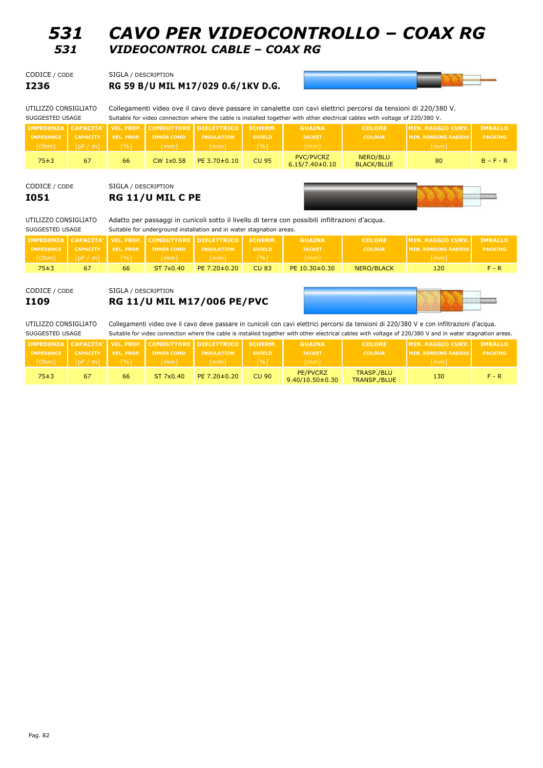## *531 CAVO PER VIDEOCONTROLLO ± COAX RG 531 VIDEOCONTROL CABLE ± COAX RG*

| I236          | RG 59 B/U MIL M17/029 0.6/1KV D.G. |
|---------------|------------------------------------|
| CODICE / CODE | SIGLA / DESCRIPTION                |



UTILIZZO CONSIGLIATO Collegamenti video ove il cavo deve passare in canalette con cavi elettrici percorsi da tensioni di 220/380 V. SUGGESTED USAGE Suitable for video connection where the cable is installed together with other electrical cables with voltage of 220/380 V.

| <b>IMPEDANCE</b><br>[Ohm] | <b>CAPACITY</b><br>[pF/m] | <b>VEL. PROP.</b><br>[%] | <b>IMPEDENZA   CAPACITA'   VEL. PROP.   CONDUTTORE   DIELETTRICO  </b><br><b>INNER COND.</b><br>(mm]' | <b>INSULATION</b><br>[mm] | SCHERM.<br><b>SHIELD</b><br>[%] | <b>GUAINA</b><br><b>JACKET</b><br>$\lceil mm \rceil$ | <b>COLORE</b><br><b>COLOUR</b> | <b>IMIN. RAGGIO CURV.</b><br><b>IMIN. BENDING RADIUS</b><br>[mm] | <b>IMBALLO</b><br><b>PACKING</b> |
|---------------------------|---------------------------|--------------------------|-------------------------------------------------------------------------------------------------------|---------------------------|---------------------------------|------------------------------------------------------|--------------------------------|------------------------------------------------------------------|----------------------------------|
| 75±3                      | 67                        | 66                       | <b>CW 1x0.58</b>                                                                                      | $PE 3.70 \pm 0.10$        | <b>CU 95</b>                    | <b>PVC/PVCRZ</b><br>$6.15/7.40 \pm 0.10$             | NERO/BLU<br><b>BLACK/BLUE</b>  | 80                                                               | $B - F - R$                      |

### CODICE / CODE SIGLA / DESCRIPTION **I051 RG 11/U MIL C PE**



UTILIZZO CONSIGLIATO Adatto per passaggi in cunicoli sotto il livello di terra con possibili infiltrazioni d'acqua.

| SUGGESTED USAGE  |                 | Suitable for underground installation and in water stagnation areas. |                    |                                                                                 |                             |                     |               |                            |                |  |
|------------------|-----------------|----------------------------------------------------------------------|--------------------|---------------------------------------------------------------------------------|-----------------------------|---------------------|---------------|----------------------------|----------------|--|
|                  |                 |                                                                      |                    | I IMPEDENZA I CAPACITA' I VEL. PROP. I CONDUTTORE I DIELETTRICO I   SCHERM.   I |                             | <b>GUAINA</b>       | <b>COLORE</b> | <b>IMIN. RAGGIO CURV.</b>  | <b>IMBALLO</b> |  |
| <b>IMPEDANCE</b> | <b>CAPACITY</b> | VEL. PROP.                                                           | <b>INNER COND.</b> | <b>INSULATION</b>                                                               | <b>SHIELD</b>               | <b>JACKET</b>       | <b>COLOUR</b> | <b>MIN. BENDING RADIUS</b> | <b>PACKING</b> |  |
| [Ohm]            | [DF/m]          | I %1'                                                                | [mm]               | [mm]                                                                            | $\lceil \frac{9}{6} \rceil$ | [mm]                |               | $\lceil$ mm $\rceil$       |                |  |
| 75±3             | 67              | 66                                                                   | ST 7x0.40          | $PE$ 7.20 $\pm$ 0.20                                                            | <b>CU 83</b>                | $PE 10.30 \pm 0.30$ | NERO/BLACK    | 120                        | F - R          |  |

CODICE / CODE SIGLA / DESCRIPTION **I109 RG 11/U MIL M17/006 PE/PVC**



UTILIZZO CONSIGLIATO Collegamenti video ove il cavo deve passare in cunicoli con cavi elettrici percorsi da tensioni di 220/380 V e con infiltrazioni d'acqua.

| SUGGESTED USAGE  |                 |                     |                    |                                                               |                     |                                   |                                   | Suitable for video connection where the cable is installed together with other electrical cables with voltage of 220/380 V and in water stagnation areas. |                |
|------------------|-----------------|---------------------|--------------------|---------------------------------------------------------------|---------------------|-----------------------------------|-----------------------------------|-----------------------------------------------------------------------------------------------------------------------------------------------------------|----------------|
|                  |                 |                     |                    | IMPEDENZA   CAPACITA'   VEL. PROP.   CONDUTTORE   DIELETTRICO | SCHERM.             | <b>GUAINA</b>                     | <b>COLORE</b>                     | <b>IMIN. RAGGIO CURV.</b>                                                                                                                                 | <b>IMBALLO</b> |
| <b>IMPEDANCE</b> | <b>CAPACITY</b> | VEL. PROP.          | <b>INNER COND.</b> | <b>INSULATION</b>                                             | <b>SHIELD</b>       | <b>JACKET</b>                     | <b>COLOUR</b>                     | <b>MIN. BENDING RADIUS</b>                                                                                                                                | <b>PACKING</b> |
| [Ohm]            | [DF/m]          | $\lceil 9/6 \rceil$ | $\lceil mm \rceil$ | / [mm]                                                        | $\lceil 9/6 \rceil$ | [mm]                              |                                   | [mm]                                                                                                                                                      |                |
| 75±3             | 67              | 66                  | ST 7x0.40          | $PE$ 7.20 $\pm$ 0.20                                          | <b>CU 90</b>        | PE/PVCRZ<br>$9.40/10.50 \pm 0.30$ | <b>TRASP./BLU</b><br>TRANSP./BLUE | 130                                                                                                                                                       | $F - R$        |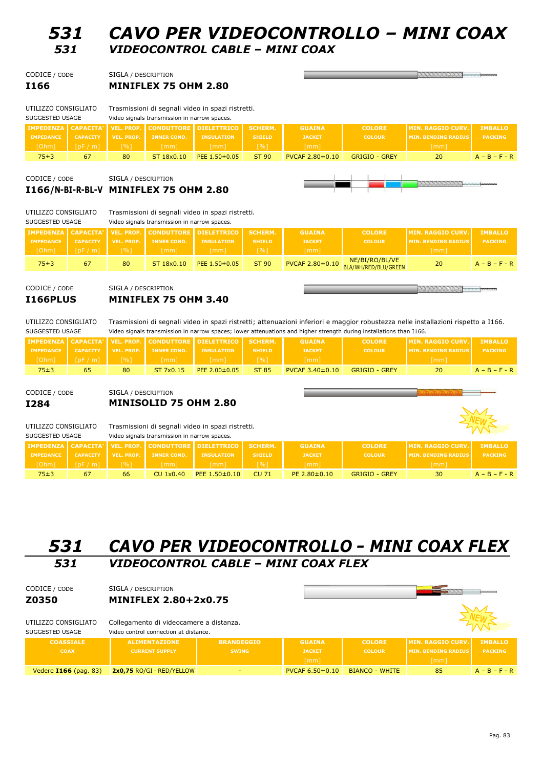## *531 CAVO PER VIDEOCONTROLLO ± MINI COAX 531 VIDEOCONTROL CABLE ± MINI COAX*

the control of the control of

| CODICE / CODE | SIGLA / DESCRIPTION         |
|---------------|-----------------------------|
| I166          | <b>MINIFLEX 75 OHM 2.80</b> |

| UTILIZZO CONSIGLIATO |                 |                                              |                    | Trasmissioni di segnali video in spazi ristretti.                      |               |                        |                      |                            |                 |
|----------------------|-----------------|----------------------------------------------|--------------------|------------------------------------------------------------------------|---------------|------------------------|----------------------|----------------------------|-----------------|
| SUGGESTED USAGE      |                 | Video signals transmission in narrow spaces. |                    |                                                                        |               |                        |                      |                            |                 |
|                      |                 |                                              |                    | <b>IMPEDENZA   CAPACITA'   VEL. PROP.   CONDUTTORE   DIELETTRICO  </b> | SCHERM.       | <b>GUAINA</b>          | <b>COLORE</b>        | <b>IMIN. RAGGIO CURV.</b>  | <b>IMBALLO</b>  |
| <b>IMPEDANCE</b>     | <b>CAPACITY</b> | VEL. PROP.                                   | <b>INNER COND.</b> | <b>INSULATION</b>                                                      | <b>SHIELD</b> | <b>JACKET</b>          | <b>COLOUR</b>        | <b>MIN. BENDING RADIUS</b> | <b>PACKING</b>  |
| [Ohm]                | [DF/m]          | [%]                                          | [mm]               | [mm]                                                                   | [%]'          | [mm]                   |                      | [mm]                       |                 |
| 75±3                 | 67              | 80                                           | ST 18x0.10         | PEE 1.50±0.05                                                          | ST 90         | <b>PVCAF 2.80±0.10</b> | <b>GRIGIO - GREY</b> | 20                         | $A - B - F - R$ |

CODICE / CODE SIGLA / DESCRIPTION

## **I166/N-BI-R-BL-V MINIFLEX 75 OHM 2.80**



UTILIZZO CONSIGLIATO Trasmissioni di segnali video in spazi ristretti.

SUGGESTED USAGE Video signals transmission in narrow spaces.

| <b>IMPEDENZA   CAPACITA'   VEL. PROP.  </b> |                 |                   |                    | <b>I CONDUTTORE I DIELETTRICO I</b> | SCHERM.       | <b>GUAINA</b>        | <b>COLORE</b>                                          | <b>IMTN. RAGGTO CURV.</b>   | <b>IMBALLO</b>  |
|---------------------------------------------|-----------------|-------------------|--------------------|-------------------------------------|---------------|----------------------|--------------------------------------------------------|-----------------------------|-----------------|
| <b>IMPEDANCE</b>                            | <b>CAPACITY</b> | <b>VEL. PROP.</b> | <b>INNER COND.</b> | <b>INSULATION</b>                   | <b>SHIELD</b> | <b>JACKET</b>        | <b>COLOUR</b>                                          | <b>IMTN. RENDTNG RADTUS</b> | <b>PACKING</b>  |
| VOhm                                        | [pF/m]          | [%]\              | $\lceil mm \rceil$ | Imm l'                              | [%]           | $\lceil$ mm $\rceil$ |                                                        | [mm]                        |                 |
| 75±3                                        | 67              | 80                | ST 18x0.10         | PEE $1.50\pm0.05$                   | ST 90         |                      | NE/BI/RO/BL/VE<br>PVCAF 2.80±0.10 BLA/WH/RED/BLU/GREEN | 20                          | $A - B - F - R$ |
|                                             |                 |                   |                    |                                     |               |                      |                                                        |                             |                 |

CODICE / CODE SIGLA / DESCRIPTION **I166PLUS MINIFLEX 75 OHM 3.40**

 $\overline{\phantom{iiiiiiiiiiiiiiiii}}$ 

UTILIZZO CONSIGLIATO Trasmissioni di segnali video in spazi ristretti; attenuazioni inferiori e maggior robustezza nelle installazioni rispetto a I166. SUGGESTED USAGE Video signals transmission in narrow spaces; lower attenuations and higher strength during installations than I166.

|                  |                      |                     |                               | IMPEDENZA CAPACITA' VEL. PROP. CONDUTTORE DIELETTRICO I SCHERM. |               | <b>GUAINA</b>         | <b>COLORE</b>        | <b>IMIN. RAGGIO CURV.</b>  | <b>IMBALLO</b>  |
|------------------|----------------------|---------------------|-------------------------------|-----------------------------------------------------------------|---------------|-----------------------|----------------------|----------------------------|-----------------|
| <b>IMPEDANCE</b> | CAPACITY VEL. PROP.  |                     | <b>INNER COND.</b> INSULATION |                                                                 | <b>SHIELD</b> | <b>JACKET</b>         | <b>COLOUR</b>        | <b>MIN. BENDING RADIUS</b> | <b>PACKING</b>  |
| [Ohm]            | $\ln$ [pF / m] $\ln$ | $\lceil 9/6 \rceil$ | [mm]                          | [mm]                                                            | [%]           | $\lceil mm \rceil$    |                      | [mm]                       |                 |
| 75±3             | 65                   | 80                  | ST 7x0.15                     | $PEE 2.00 \pm 0.05$                                             | ST 85         | $PVCAF 3.40 \pm 0.10$ | <b>GRIGIO - GREY</b> | 20                         | $A - B - F - R$ |

CODICE / CODE SIGLA / DESCRIPTION

## **I284 MINISOLID 75 OHM 2.80**

| Trasmissioni di segnali video in spazi ristretti.<br>UTILIZZO CONSIGLIATO<br>SUGGESTED USAGE<br>Video signals transmission in narrow spaces. |                 |            |                    |                                   |               |                      |                      |                            |                 |
|----------------------------------------------------------------------------------------------------------------------------------------------|-----------------|------------|--------------------|-----------------------------------|---------------|----------------------|----------------------|----------------------------|-----------------|
| <b>IMPEDENZA   CAPACITA'  </b>                                                                                                               |                 |            |                    | VEL. PROP. CONDUTTORE DIELETTRICO | SCHERM.       | <b>GUAINA</b>        | <b>COLORE</b>        | MIN. RAGGIO CURV.          | <b>IMBALLO</b>  |
| <b>IMPEDANCE</b>                                                                                                                             | <b>CAPACITY</b> | VEL. PROP. | <b>INNER COND.</b> | <b>INSULATION</b>                 | <b>SHIELD</b> | <b>JACKET</b>        | <b>COLOUR</b>        | <b>MIN. BENDING RADIUS</b> | <b>PACKING</b>  |
| [Ohm]                                                                                                                                        | [pF/m]          | [%]        | [mm]               | $\lceil mm \rceil$                | $\sqrt{20}$   | [mm]                 |                      | $\lceil mm \rceil$         |                 |
| $75 + 3$                                                                                                                                     | 67              | 66         | CU 1x0.40          | PEE $1.50\pm0.10$                 | CU 71         | $PE$ 2.80 $\pm$ 0.10 | <b>GRIGIO - GREY</b> | 30                         | $A - B - F - R$ |

## *531 CAVO PER VIDEOCONTROLLO <sup>±</sup> MINI COAX FLEX 531 VIDEOCONTROL CABLE ± MINI COAX FLEX*

| CODICE / CODE<br>Z0350<br>UTILIZZO CONSIGLIATO<br>SUGGESTED USAGE | SIGLA / DESCRIPTION<br><b>MINIFLEX 2.80+2x0.75</b><br>Collegamento di videocamere a distanza.<br>Video control connection at distance. |                   |                                               |                       |                            |                 |
|-------------------------------------------------------------------|----------------------------------------------------------------------------------------------------------------------------------------|-------------------|-----------------------------------------------|-----------------------|----------------------------|-----------------|
| <b>COASSIALE</b>                                                  | <b>ALIMENTAZIONE</b>                                                                                                                   | <b>BRANDEGGIO</b> | <b>GUAINA</b>                                 | <b>COLORE</b>         | <b>MIN. RAGGIO CURV.</b>   | <b>IMBALLO</b>  |
| <b>COAX</b>                                                       | <b>CURRENT SUPPLY</b>                                                                                                                  | <b>SWING</b>      | <b>JACKET</b>                                 | <b>COLOUR</b>         | <b>MIN. BENDING RADIUS</b> | <b>PACKING</b>  |
|                                                                   |                                                                                                                                        |                   | [mm]<br><b>PVCAF 6.50<math>\pm</math>0.10</b> | <b>BIANCO - WHITE</b> | $\lceil mm \rceil$         | $A - B - F - R$ |
| Vedere <b>I166</b> (pag. 83)                                      | 2x0,75 RO/GI - RED/YELLOW                                                                                                              |                   |                                               |                       | 85                         |                 |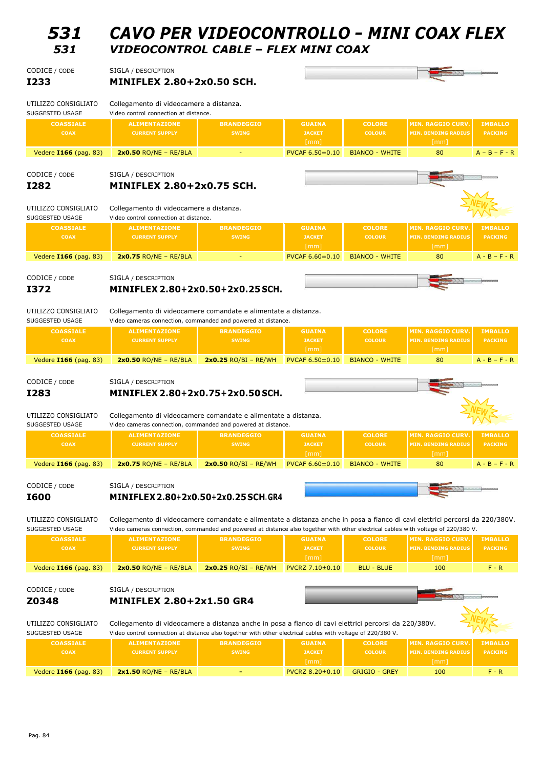| 531                                     | CAVO PER VIDEOCONTROLLO - MINI COAX FLEX                                                                                                                                                                                                                          |                                   |                                        |                                |                                                                              |                                  |
|-----------------------------------------|-------------------------------------------------------------------------------------------------------------------------------------------------------------------------------------------------------------------------------------------------------------------|-----------------------------------|----------------------------------------|--------------------------------|------------------------------------------------------------------------------|----------------------------------|
| 531                                     | VIDEOCONTROL CABLE - FLEX MINI COAX                                                                                                                                                                                                                               |                                   |                                        |                                |                                                                              |                                  |
| CODICE / CODE                           | SIGLA / DESCRIPTION                                                                                                                                                                                                                                               |                                   |                                        |                                |                                                                              |                                  |
| <b>I233</b>                             | <b>MINIFLEX 2.80+2x0.50 SCH.</b>                                                                                                                                                                                                                                  |                                   |                                        |                                |                                                                              |                                  |
| UTILIZZO CONSIGLIATO<br>SUGGESTED USAGE | Collegamento di videocamere a distanza.<br>Video control connection at distance.                                                                                                                                                                                  |                                   |                                        |                                |                                                                              |                                  |
| <b>COASSIALE</b>                        | <b>ALIMENTAZIONE</b>                                                                                                                                                                                                                                              | <b>BRANDEGGIO</b>                 | <b>GUAINA</b>                          | <b>COLORE</b>                  | <b>MIN. RAGGIO CURV.</b>                                                     | <b>IMBALLO</b>                   |
| <b>COAX</b>                             | <b>CURRENT SUPPLY</b>                                                                                                                                                                                                                                             | <b>SWING</b>                      | <b>JACKET</b><br>$\lceil mm \rceil$    | <b>COLOUR</b>                  | <b>MIN. BENDING RADIUS</b><br>[mm]                                           | <b>PACKING</b>                   |
| Vedere 1166 (pag. 83)                   | $2x0.50$ RO/NE - RE/BLA                                                                                                                                                                                                                                           |                                   | PVCAF 6.50±0.10                        | <b>BIANCO - WHITE</b>          | 80                                                                           | $A - B - F - R$                  |
| CODICE / CODE                           | SIGLA / DESCRIPTION                                                                                                                                                                                                                                               |                                   |                                        |                                |                                                                              |                                  |
| <b>I282</b>                             | <b>MINIFLEX 2.80+2x0.75 SCH.</b>                                                                                                                                                                                                                                  |                                   |                                        |                                |                                                                              |                                  |
| UTILIZZO CONSIGLIATO                    | Collegamento di videocamere a distanza.                                                                                                                                                                                                                           |                                   |                                        |                                |                                                                              |                                  |
| SUGGESTED USAGE                         | Video control connection at distance.                                                                                                                                                                                                                             |                                   |                                        |                                |                                                                              |                                  |
| <b>COASSIALE</b><br><b>COAX</b>         | <b>ALIMENTAZIONE</b><br><b>CURRENT SUPPLY</b>                                                                                                                                                                                                                     | <b>BRANDEGGIO</b><br><b>SWING</b> | <b>GUAINA</b><br><b>JACKET</b>         | <b>COLORE</b><br><b>COLOUR</b> | <b>MIN. RAGGIO CURV</b><br><b>MIN. BENDING RADIUS</b>                        | <b>IMBALLO</b><br><b>PACKING</b> |
| Vedere 1166 (pag. 83)                   | $2x0.75$ RO/NE - RE/BLA                                                                                                                                                                                                                                           |                                   | [mm]<br>PVCAF 6.60±0.10                | <b>BIANCO - WHITE</b>          | [mm]<br>80                                                                   | $A - B - F - R$                  |
|                                         |                                                                                                                                                                                                                                                                   |                                   |                                        |                                |                                                                              |                                  |
| CODICE / CODE<br>I372                   | SIGLA / DESCRIPTION<br>MINIFLEX 2.80+2x0.50+2x0.25 SCH.                                                                                                                                                                                                           |                                   |                                        |                                |                                                                              |                                  |
|                                         |                                                                                                                                                                                                                                                                   |                                   |                                        |                                |                                                                              |                                  |
| UTILIZZO CONSIGLIATO<br>SUGGESTED USAGE | Collegamento di videocamere comandate e alimentate a distanza.<br>Video cameras connection, commanded and powered at distance.                                                                                                                                    |                                   |                                        |                                |                                                                              |                                  |
| <b>COASSIALE</b><br><b>COAX</b>         | <b>ALIMENTAZIONE</b><br><b>CURRENT SUPPLY</b>                                                                                                                                                                                                                     | <b>BRANDEGGIO</b><br><b>SWING</b> | <b>GUAINA</b><br><b>JACKET</b><br>[mm] | <b>COLORE</b><br><b>COLOUR</b> | <b>MIN. RAGGIO CURV.</b><br><b>MIN. BENDING RADIUS</b><br>$\lceil mm \rceil$ | <b>IMBALLO</b><br><b>PACKING</b> |
| Vedere 1166 (pag. 83)                   | $2x0.50$ RO/NE - RE/BLA                                                                                                                                                                                                                                           | $2x0.25$ RO/BI - RE/WH            | PVCAF 6.50±0.10                        | <b>BIANCO - WHITE</b>          | 80                                                                           | $A - B - F - R$                  |
| CODICE / CODE                           | SIGLA / DESCRIPTION                                                                                                                                                                                                                                               |                                   |                                        |                                |                                                                              |                                  |
| I283                                    | MINIFLEX 2.80+2x0.75+2x0.50 SCH.                                                                                                                                                                                                                                  |                                   |                                        |                                |                                                                              |                                  |
| UTILIZZO CONSIGLIATO<br>SUGGESTED USAGE | Collegamento di videocamere comandate e alimentate a distanza.<br>Video cameras connection, commanded and powered at distance.                                                                                                                                    |                                   |                                        |                                |                                                                              |                                  |
| <b>COASSIALE</b>                        | <b>ALIMENTAZIONE</b>                                                                                                                                                                                                                                              | <b>BRANDEGGIO</b>                 | <b>GUAINA</b>                          | <b>COLORE</b>                  | <b>MIN. RAGGIO CURV</b>                                                      | <b>IMBALLO</b>                   |
| <b>COAX</b>                             | <b>CURRENT SUPPLY</b>                                                                                                                                                                                                                                             | <b>SWING</b>                      | <b>JACKET</b><br>[mm]                  | <b>COLOUR</b>                  | <b>MIN. BENDING RADIUS</b><br>[mm]                                           | <b>PACKING</b>                   |
| Vedere 1166 (pag. 83)                   | $2x0.75$ RO/NE - RE/BLA                                                                                                                                                                                                                                           | $2x0.50$ RO/BI - RE/WH            | PVCAF 6.60±0.10                        | <b>BIANCO - WHITE</b>          | 80                                                                           | $A - B - F - R$                  |
| CODICE / CODE                           | SIGLA / DESCRIPTION                                                                                                                                                                                                                                               |                                   |                                        |                                |                                                                              |                                  |
| <b>I600</b>                             | MINIFLEX 2.80+2x0.50+2x0.25 SCH.GR4                                                                                                                                                                                                                               |                                   |                                        |                                |                                                                              |                                  |
|                                         |                                                                                                                                                                                                                                                                   |                                   |                                        |                                |                                                                              |                                  |
| UTILIZZO CONSIGLIATO<br>SUGGESTED USAGE | Collegamento di videocamere comandate e alimentate a distanza anche in posa a fianco di cavi elettrici percorsi da 220/380V.<br>Video cameras connection, commanded and powered at distance also together with other electrical cables with voltage of 220/380 V. |                                   |                                        |                                |                                                                              |                                  |
| <b>COASSIALE</b><br><b>COAX</b>         | <b>ALIMENTAZIONE</b><br><b>CURRENT SUPPLY</b>                                                                                                                                                                                                                     | <b>BRANDEGGIO</b><br><b>SWING</b> | <b>GUAINA</b><br><b>JACKET</b>         | <b>COLORE</b><br><b>COLOUR</b> | <b>MIN. RAGGIO CURV.</b><br><b>MIN. BENDING RADIUS</b>                       | <b>IMBALLO</b><br><b>PACKING</b> |
|                                         |                                                                                                                                                                                                                                                                   |                                   | [mm]                                   |                                | [mm]                                                                         |                                  |
| Vedere 1166 (pag. 83)                   | $2x0.50$ RO/NE - RE/BLA                                                                                                                                                                                                                                           | $2x0.25$ RO/BI - RE/WH            | PVCRZ 7.10±0.10                        | <b>BLU - BLUE</b>              | 100                                                                          | $F - R$                          |
| CODICE / CODE                           | SIGLA / DESCRIPTION                                                                                                                                                                                                                                               |                                   |                                        |                                |                                                                              |                                  |
| Z0348                                   |                                                                                                                                                                                                                                                                   |                                   |                                        |                                |                                                                              |                                  |
|                                         | <b>MINIFLEX 2.80+2x1.50 GR4</b>                                                                                                                                                                                                                                   |                                   |                                        |                                |                                                                              |                                  |
| UTILIZZO CONSIGLIATO<br>SUGGESTED USAGE | Collegamento di videocamere a distanza anche in posa a fianco di cavi elettrici percorsi da 220/380V.<br>Video control connection at distance also together with other electrical cables with voltage of 220/380 V.                                               |                                   |                                        |                                |                                                                              |                                  |
| <b>COASSIALE</b>                        | <b>ALIMENTAZIONE</b>                                                                                                                                                                                                                                              | <b>BRANDEGGIO</b>                 | <b>GUAINA</b>                          | <b>COLORE</b>                  | <b>MIN. RAGGIO CURV</b>                                                      | <b>IMBALLO</b>                   |
| <b>COAX</b>                             | <b>CURRENT SUPPLY</b>                                                                                                                                                                                                                                             | <b>SWING</b>                      | <b>JACKET</b><br>[mm]                  | <b>COLOUR</b>                  | <b>MIN. BENDING RADIUS</b><br>[mm]                                           | <b>PACKING</b>                   |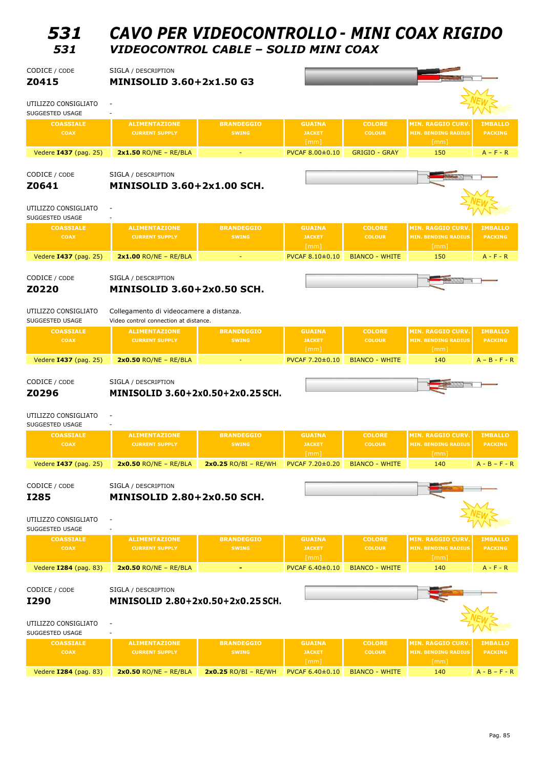# *531 CAVO PER VIDEOCONTROLLO <sup>±</sup> MINI COAX RIGIDO 531 VIDEOCONTROL CABLE ± SOLID MINI COAX*

| CODICE / CODE<br>Z0415                                 | SIGLA / DESCRIPTION<br><b>MINISOLID 3.60+2x1.50 G3</b>                               |                                   |                                        |                                |                                                                |                                  |
|--------------------------------------------------------|--------------------------------------------------------------------------------------|-----------------------------------|----------------------------------------|--------------------------------|----------------------------------------------------------------|----------------------------------|
| UTILIZZO CONSIGLIATO<br>SUGGESTED USAGE                | $\overline{\phantom{a}}$                                                             |                                   |                                        |                                |                                                                |                                  |
| <b>COASSIALE</b><br><b>COAX</b>                        | <b>ALIMENTAZIONE</b><br><b>CURRENT SUPPLY</b>                                        | <b>BRANDEGGIO</b><br><b>SWING</b> | <b>GUAINA</b><br><b>JACKET</b><br>[mm] | <b>COLORE</b><br><b>COLOUR</b> | <b>MIN. RAGGIO CURV</b><br><b>MIN. BENDING RADIUS</b><br>[mm]  | <b>IMBALLO</b><br><b>PACKING</b> |
| Vedere 1437 (pag. 25)                                  | $2x1.50$ RO/NE - RE/BLA                                                              |                                   | PVCAF 8.00±0.10                        | <b>GRIGIO - GRAY</b>           | 150                                                            | $A - F - R$                      |
| CODICE / CODE<br>Z0641                                 | SIGLA / DESCRIPTION<br><b>MINISOLID 3.60+2x1.00 SCH.</b>                             |                                   |                                        |                                |                                                                |                                  |
| UTILIZZO CONSIGLIATO<br>SUGGESTED USAGE                | $\sim$                                                                               |                                   |                                        |                                |                                                                |                                  |
| <b>COASSIALE</b><br><b>COAX</b>                        | <b>ALIMENTAZIONE</b><br><b>CURRENT SUPPLY</b>                                        | <b>BRANDEGGIO</b><br><b>SWING</b> | <b>GUAINA</b><br><b>JACKET</b><br>[mm] | <b>COLORE</b><br><b>COLOUR</b> | <b>MIN. RAGGIO CURV.</b><br><b>MIN. BENDING RADIUS</b><br>[mm] | <b>IMBALLO</b><br><b>PACKING</b> |
| Vedere 1437 (pag. 25)                                  | $2x1.00$ RO/NE - RE/BLA                                                              |                                   | PVCAF 8.10±0.10                        | <b>BIANCO - WHITE</b>          | 150                                                            | $A - F - R$                      |
| CODICE / CODE<br>Z0220                                 | SIGLA / DESCRIPTION<br><b>MINISOLID 3.60+2x0.50 SCH.</b>                             |                                   |                                        |                                |                                                                |                                  |
| UTILIZZO CONSIGLIATO<br>SUGGESTED USAGE                | Collegamento di videocamere a distanza.<br>Video control connection at distance.     |                                   |                                        |                                |                                                                |                                  |
| <b>COASSIALE</b><br><b>COAX</b>                        | <b>ALIMENTAZIONE</b><br><b>CURRENT SUPPLY</b>                                        | <b>BRANDEGGIO</b><br><b>SWING</b> | <b>GUAINA</b><br><b>JACKET</b><br>[mm] | <b>COLORE</b><br><b>COLOUR</b> | <b>MIN. RAGGIO CURV.</b><br><b>MIN. BENDING RADIUS</b><br>[mm] | <b>IMBALLO</b><br><b>PACKING</b> |
| Vedere 1437 (pag. 25)                                  | $2x0.50$ RO/NE - RE/BLA                                                              |                                   | PVCAF 7.20±0.10                        | <b>BIANCO - WHITE</b>          | 140                                                            | $A - B - F - R$                  |
|                                                        |                                                                                      |                                   |                                        |                                |                                                                |                                  |
| CODICE / CODE<br>Z0296<br>UTILIZZO CONSIGLIATO         | SIGLA / DESCRIPTION<br>MINISOLID 3.60+2x0.50+2x0.25 SCH.<br>$\overline{\phantom{a}}$ |                                   |                                        |                                |                                                                |                                  |
| SUGGESTED USAGE<br><b>COASSIALE</b><br><b>COAX</b>     | <b>ALIMENTAZIONE</b><br><b>CURRENT SUPPLY</b>                                        | <b>BRANDEGGIO</b><br><b>SWING</b> | <b>GUAINA</b><br><b>JACKET</b>         | <b>COLORE</b><br><b>COLOUR</b> | <b>MIN. RAGGIO CURV.</b><br><b>MIN. BENDING RADIUS</b>         | <b>IMBALLO</b><br><b>PACKING</b> |
|                                                        |                                                                                      | $2x0.25$ RO/BI - RE/WH            | [mm]                                   |                                | [mm]                                                           |                                  |
| Vedere 1437 (pag. 25)                                  | $2x0.50$ RO/NE - RE/BLA                                                              |                                   | PVCAF 7.20±0.20                        | <b>BIANCO - WHITE</b>          | 140                                                            | $A - B - F - R$                  |
| CODICE / CODE                                          | SIGLA / DESCRIPTION                                                                  |                                   |                                        |                                |                                                                |                                  |
| <b>I285</b><br>UTILIZZO CONSIGLIATO<br>SUGGESTED USAGE | <b>MINISOLID 2.80+2x0.50 SCH.</b><br>$\overline{\phantom{a}}$                        |                                   |                                        |                                |                                                                |                                  |
| <b>COASSIALE</b><br><b>COAX</b>                        | <b>ALIMENTAZIONE</b><br><b>CURRENT SUPPLY</b>                                        | <b>BRANDEGGIO</b><br><b>SWING</b> | <b>GUAINA</b><br><b>JACKET</b>         | <b>COLORE</b><br><b>COLOUR</b> | <b>MIN. RAGGIO CURV</b><br><b>MIN. BENDING RADIUS</b>          | <b>IMBALLO</b><br><b>PACKING</b> |
| Vedere 1284 (pag. 83)                                  | $2x0.50$ RO/NE - RE/BLA                                                              |                                   | [mm]<br>PVCAF 6.40±0.10                | <b>BIANCO - WHITE</b>          | [mm]<br>140                                                    | $A - F - R$                      |
| CODICE / CODE                                          | SIGLA / DESCRIPTION                                                                  |                                   |                                        |                                |                                                                |                                  |
| I290<br>UTILIZZO CONSIGLIATO<br>SUGGESTED USAGE        | MINISOLID 2.80+2x0.50+2x0.25 SCH.<br>$\overline{\phantom{a}}$                        |                                   |                                        |                                |                                                                |                                  |
| <b>COASSIALE</b><br>COAX                               | <b>ALIMENTAZIONE</b><br><b>CURRENT SUPPLY</b>                                        | <b>BRANDEGGIO</b><br><b>SWING</b> | <b>GUAINA</b><br><b>JACKET</b><br>[mm] | <b>COLORE</b><br><b>COLOUR</b> | <b>MIN. RAGGIO CURV</b><br><b>MIN. BENDING RADIUS</b><br>[mm]  | <b>IMBALLO</b><br><b>PACKING</b> |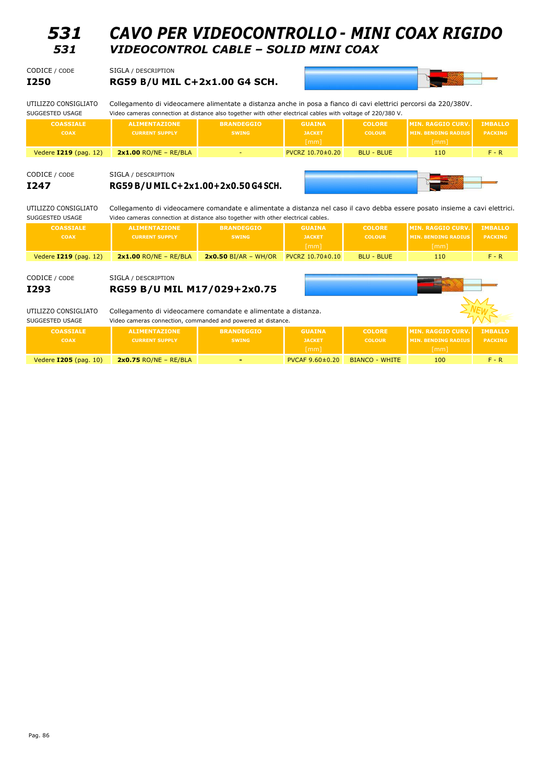## *531 CAVO PER VIDEOCONTROLLO <sup>±</sup> MINI COAX RIGIDO 531 VIDEOCONTROL CABLE ± SOLID MINI COAX*

| CODICE / CODE                                        | SIGLA / DESCRIPTION                                                                                                                                                                                                            |                                   |                                        |                                |                                                                |                                  |  |  |
|------------------------------------------------------|--------------------------------------------------------------------------------------------------------------------------------------------------------------------------------------------------------------------------------|-----------------------------------|----------------------------------------|--------------------------------|----------------------------------------------------------------|----------------------------------|--|--|
| <b>I250</b>                                          | RG59 B/U MIL C+2x1.00 G4 SCH.                                                                                                                                                                                                  |                                   |                                        |                                |                                                                |                                  |  |  |
| UTILIZZO CONSIGLIATO<br>SUGGESTED USAGE              | Collegamento di videocamere alimentate a distanza anche in posa a fianco di cavi elettrici percorsi da 220/380V.<br>Video cameras connection at distance also together with other electrical cables with voltage of 220/380 V. |                                   |                                        |                                |                                                                |                                  |  |  |
| <b>COASSIALE</b><br><b>COAX</b>                      | <b>ALIMENTAZIONE</b><br><b>CURRENT SUPPLY</b>                                                                                                                                                                                  | <b>BRANDEGGIO</b><br><b>SWING</b> | <b>GUAINA</b><br><b>JACKET</b><br>[mm] | <b>COLORE</b><br><b>COLOUR</b> | <b>MIN. RAGGIO CURV.</b><br><b>MIN. BENDING RADIUS</b><br>[mm] | <b>IMBALLO</b><br><b>PACKING</b> |  |  |
| Vedere 1219 (pag. 12)                                | $2x1.00$ RO/NE - RE/BLA                                                                                                                                                                                                        |                                   | PVCRZ 10.70±0.20                       | <b>BLU - BLUE</b>              | 110                                                            | $F - R$                          |  |  |
| CODICE / CODE<br>I247<br>UTILIZZO CONSIGLIATO        | SIGLA / DESCRIPTION<br>RG59 B/U MIL C+2x1.00+2x0.50 G4 SCH.<br>Collegamento di videocamere comandate e alimentate a distanza nel caso il cavo debba essere posato insieme a cavi elettrici.                                    |                                   |                                        |                                |                                                                |                                  |  |  |
| SUGGESTED USAGE                                      | Video cameras connection at distance also together with other electrical cables.                                                                                                                                               |                                   |                                        |                                |                                                                |                                  |  |  |
| <b>COASSIALE</b>                                     | <b>ALIMENTAZIONE</b>                                                                                                                                                                                                           | <b>BRANDEGGIO</b>                 | <b>GUAINA</b>                          | <b>COLORE</b>                  | <b>MIN. RAGGIO CURV.</b>                                       | <b>IMBALLO</b>                   |  |  |
| <b>COAX</b>                                          | <b>CURRENT SUPPLY</b>                                                                                                                                                                                                          | <b>SWING</b>                      | <b>JACKET</b><br>$\lceil mm \rceil$    | <b>COLOUR</b>                  | <b>MIN. BENDING RADIUS</b><br>$\lceil mm \rceil$               | <b>PACKING</b>                   |  |  |
| Vedere 1219 (pag. 12)                                | $2x1.00$ RO/NE - RE/BLA                                                                                                                                                                                                        | $2x0.50$ BI/AR - WH/OR            | PVCRZ 10.70±0.10                       | <b>BLU - BLUE</b>              | 110                                                            | $F - R$                          |  |  |
| CODICE / CODE<br><b>I293</b><br>UTILIZZO CONSIGLIATO | SIGLA / DESCRIPTION<br>RG59 B/U MIL M17/029+2x0.75<br>Collegamento di videocamere comandate e alimentate a distanza.                                                                                                           |                                   |                                        |                                |                                                                |                                  |  |  |
| SUGGESTED USAGE                                      | Video cameras connection, commanded and powered at distance.                                                                                                                                                                   |                                   |                                        |                                |                                                                |                                  |  |  |
| <b>COASSIALE</b>                                     | <b>ALIMENTAZIONE</b>                                                                                                                                                                                                           | <b>BRANDEGGIO</b>                 | <b>GUAINA</b>                          | <b>COLORE</b>                  | <b>MIN. RAGGIO CURV.</b>                                       | <b>IMBALLO</b>                   |  |  |
| <b>COAX</b>                                          | <b>CURRENT SUPPLY</b>                                                                                                                                                                                                          | <b>SWING</b>                      | <b>JACKET</b>                          | <b>COLOUR</b>                  | <b>MIN. BENDING RADIUS</b>                                     | <b>PACKING</b>                   |  |  |
|                                                      |                                                                                                                                                                                                                                |                                   | [mm]                                   |                                | [mm]                                                           |                                  |  |  |
| Vedere 1205 (pag. 10)                                | $2x0.75$ RO/NE - RE/BLA                                                                                                                                                                                                        |                                   | PVCAF 9.60±0.20                        | <b>BIANCO - WHITE</b>          | 100                                                            | $F - R$                          |  |  |
|                                                      |                                                                                                                                                                                                                                |                                   |                                        |                                |                                                                |                                  |  |  |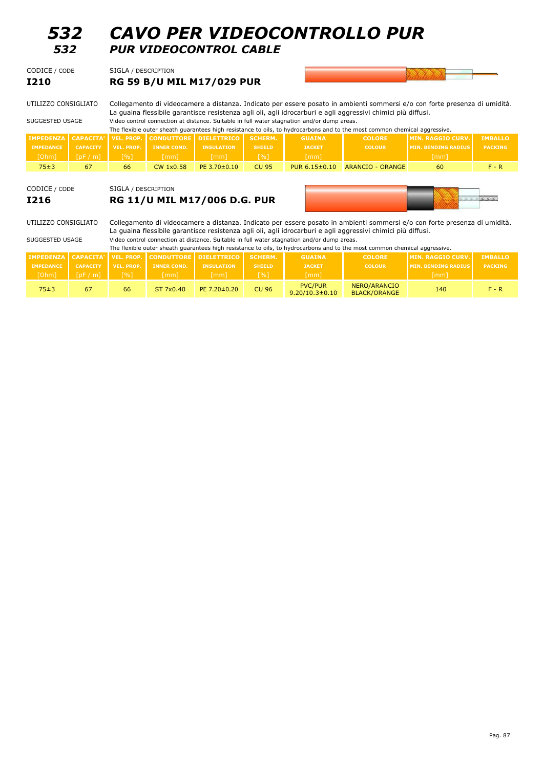| 532<br>532                                                                                 |                  | <b>CAVO PER VIDEOCONTROLLO PUR</b><br><b>PUR VIDEOCONTROL CABLE</b>                                                                                                                                                                                                                                                                                                                                                                                                   |                                  |                               |                    |                                        |                                     |                            |                |  |  |  |
|--------------------------------------------------------------------------------------------|------------------|-----------------------------------------------------------------------------------------------------------------------------------------------------------------------------------------------------------------------------------------------------------------------------------------------------------------------------------------------------------------------------------------------------------------------------------------------------------------------|----------------------------------|-------------------------------|--------------------|----------------------------------------|-------------------------------------|----------------------------|----------------|--|--|--|
| CODICE / CODE                                                                              |                  | SIGLA / DESCRIPTION                                                                                                                                                                                                                                                                                                                                                                                                                                                   |                                  |                               |                    |                                        |                                     |                            |                |  |  |  |
| <b>I210</b>                                                                                |                  |                                                                                                                                                                                                                                                                                                                                                                                                                                                                       | <b>RG 59 B/U MIL M17/029 PUR</b> |                               |                    |                                        |                                     |                            |                |  |  |  |
| UTILIZZO CONSIGLIATO<br>SUGGESTED USAGE                                                    |                  | Collegamento di videocamere a distanza. Indicato per essere posato in ambienti sommersi e/o con forte presenza di umidità.<br>La quaina flessibile garantisce resistenza agli oli, agli idrocarburi e agli aggressivi chimici più diffusi.<br>Video control connection at distance. Suitable in full water stagnation and/or dump areas.<br>The flexible outer sheath guarantees high resistance to oils, to hydrocarbons and to the most common chemical aggressive. |                                  |                               |                    |                                        |                                     |                            |                |  |  |  |
| <b>IMPEDENZA</b>                                                                           | <b>CAPACITA'</b> | <b>VEL. PROP.</b>                                                                                                                                                                                                                                                                                                                                                                                                                                                     | <b>CONDUTTORE</b>                | <b>DIELETTRICO</b>            | <b>SCHERM.</b>     | <b>GUAINA</b>                          | <b>COLORE</b>                       | <b>MIN. RAGGIO CURV.</b>   | <b>IMBALLO</b> |  |  |  |
| <b>IMPEDANCE</b>                                                                           | <b>CAPACITY</b>  | <b>VEL. PROP.</b>                                                                                                                                                                                                                                                                                                                                                                                                                                                     | <b>INNER COND.</b>               | <b>INSULATION</b>             | <b>SHIELD</b>      | <b>JACKET</b>                          | <b>COLOUR</b>                       | <b>MIN. BENDING RADIUS</b> | <b>PACKING</b> |  |  |  |
| [Ohm]                                                                                      | [pF/m]           | $\lceil \% \rceil$                                                                                                                                                                                                                                                                                                                                                                                                                                                    | $\lceil mm \rceil$               | [mm]                          | [%]                | [mm]                                   |                                     | [mm]                       |                |  |  |  |
| 75±3                                                                                       | 67               | 66                                                                                                                                                                                                                                                                                                                                                                                                                                                                    | <b>CW 1x0.58</b>                 | PE 3.70±0.10                  | <b>CU 95</b>       | PUR 6.15±0.10                          | <b>ARANCIO - ORANGE</b>             | 60                         | $F - R$        |  |  |  |
| CODICE / CODE<br>SIGLA / DESCRIPTION<br><b>RG 11/U MIL M17/006 D.G. PUR</b><br><b>I216</b> |                  |                                                                                                                                                                                                                                                                                                                                                                                                                                                                       |                                  |                               |                    |                                        |                                     |                            |                |  |  |  |
| UTILIZZO CONSIGLIATO                                                                       |                  | Collegamento di videocamere a distanza. Indicato per essere posato in ambienti sommersi e/o con forte presenza di umidità.<br>La guaina flessibile garantisce resistenza agli oli, agli idrocarburi e agli aggressivi chimici più diffusi.                                                                                                                                                                                                                            |                                  |                               |                    |                                        |                                     |                            |                |  |  |  |
| SUGGESTED USAGE                                                                            |                  | Video control connection at distance. Suitable in full water stagnation and/or dump areas.<br>The flexible outer sheath quarantees high resistance to oils, to hydrocarbons and to the most common chemical aggressive.                                                                                                                                                                                                                                               |                                  |                               |                    |                                        |                                     |                            |                |  |  |  |
| <b>IMPEDENZA</b>                                                                           | <b>CAPACITA'</b> | <b>VEL. PROP.</b>                                                                                                                                                                                                                                                                                                                                                                                                                                                     |                                  | <b>CONDUTTORE DIELETTRICO</b> | <b>SCHERM.</b>     | <b>GUAINA</b>                          | <b>COLORE</b>                       | <b>MIN. RAGGIO CURV.</b>   | <b>IMBALLO</b> |  |  |  |
| <b>IMPEDANCE</b>                                                                           | <b>CAPACITY</b>  | <b>VEL. PROP.</b>                                                                                                                                                                                                                                                                                                                                                                                                                                                     | <b>INNER COND.</b>               | <b>INSULATION</b>             | <b>SHIELD</b>      | <b>JACKET</b>                          | <b>COLOUR</b>                       | <b>MIN. BENDING RADIUS</b> | <b>PACKING</b> |  |  |  |
| [Ohm]                                                                                      | [pF/m]           | $\lceil \frac{9}{6} \rceil$                                                                                                                                                                                                                                                                                                                                                                                                                                           | $\lceil mm \rceil$               | $\lceil mm \rceil$            | $\lceil \% \rceil$ | $\lceil mm \rceil$                     |                                     | $\lceil mm \rceil$         |                |  |  |  |
| 75±3                                                                                       | 67               | 66                                                                                                                                                                                                                                                                                                                                                                                                                                                                    | ST 7x0.40                        | PE 7.20±0.20                  | <b>CU 96</b>       | <b>PVC/PUR</b><br>$9.20/10.3 \pm 0.10$ | NERO/ARANCIO<br><b>BLACK/ORANGE</b> | 140                        | $F - R$        |  |  |  |